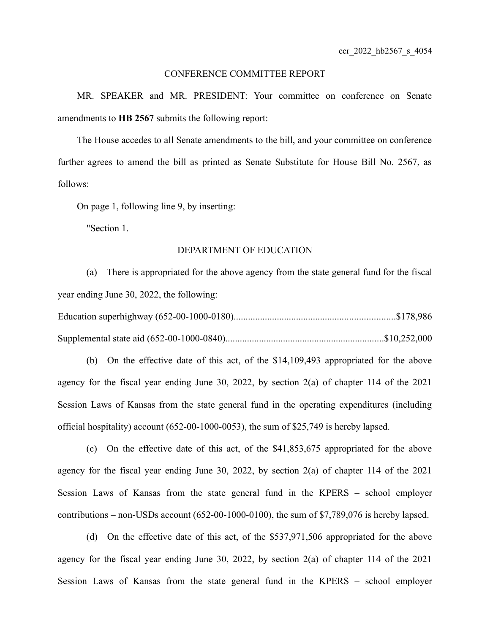#### CONFERENCE COMMITTEE REPORT

MR. SPEAKER and MR. PRESIDENT: Your committee on conference on Senate amendments to **HB 2567** submits the following report:

The House accedes to all Senate amendments to the bill, and your committee on conference further agrees to amend the bill as printed as Senate Substitute for House Bill No. 2567, as follows:

On page 1, following line 9, by inserting:

"Section 1.

## DEPARTMENT OF EDUCATION

(a) There is appropriated for the above agency from the state general fund for the fiscal year ending June 30, 2022, the following:

(b) On the effective date of this act, of the \$14,109,493 appropriated for the above agency for the fiscal year ending June 30, 2022, by section 2(a) of chapter 114 of the 2021 Session Laws of Kansas from the state general fund in the operating expenditures (including official hospitality) account (652-00-1000-0053), the sum of \$25,749 is hereby lapsed.

(c) On the effective date of this act, of the \$41,853,675 appropriated for the above agency for the fiscal year ending June 30, 2022, by section 2(a) of chapter 114 of the 2021 Session Laws of Kansas from the state general fund in the KPERS – school employer contributions – non-USDs account (652-00-1000-0100), the sum of \$7,789,076 is hereby lapsed.

(d) On the effective date of this act, of the \$537,971,506 appropriated for the above agency for the fiscal year ending June 30, 2022, by section 2(a) of chapter 114 of the 2021 Session Laws of Kansas from the state general fund in the KPERS – school employer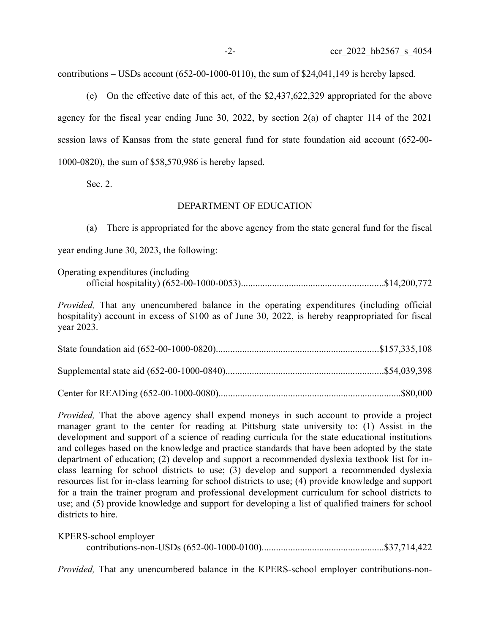contributions – USDs account  $(652-00-1000-0110)$ , the sum of \$24,041,149 is hereby lapsed.

(e) On the effective date of this act, of the \$2,437,622,329 appropriated for the above agency for the fiscal year ending June 30, 2022, by section 2(a) of chapter 114 of the 2021 session laws of Kansas from the state general fund for state foundation aid account (652-00- 1000-0820), the sum of \$58,570,986 is hereby lapsed.

Sec. 2.

## DEPARTMENT OF EDUCATION

(a) There is appropriated for the above agency from the state general fund for the fiscal year ending June 30, 2023, the following:

| Operating expenditures (including |  |
|-----------------------------------|--|
|                                   |  |

*Provided,* That any unencumbered balance in the operating expenditures (including official hospitality) account in excess of \$100 as of June 30, 2022, is hereby reappropriated for fiscal year 2023.

*Provided*, That the above agency shall expend moneys in such account to provide a project manager grant to the center for reading at Pittsburg state university to: (1) Assist in the development and support of a science of reading curricula for the state educational institutions and colleges based on the knowledge and practice standards that have been adopted by the state department of education; (2) develop and support a recommended dyslexia textbook list for inclass learning for school districts to use; (3) develop and support a recommended dyslexia resources list for in-class learning for school districts to use; (4) provide knowledge and support for a train the trainer program and professional development curriculum for school districts to use; and (5) provide knowledge and support for developing a list of qualified trainers for school districts to hire.

KPERS-school employer

contributions-non-USDs (652-00-1000-0100)...................................................\$37,714,422

*Provided,* That any unencumbered balance in the KPERS-school employer contributions-non-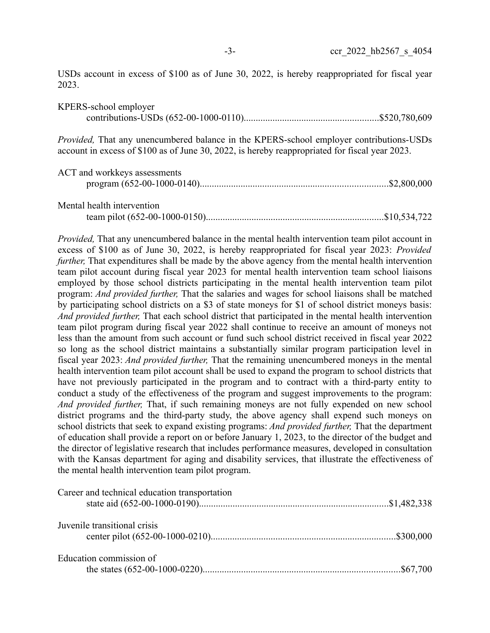USDs account in excess of \$100 as of June 30, 2022, is hereby reappropriated for fiscal year 2023.

| KPERS-school employer                                                                                                                                                                             |  |
|---------------------------------------------------------------------------------------------------------------------------------------------------------------------------------------------------|--|
| <i>Provided</i> , That any unencumbered balance in the KPERS-school employer contributions-USDs<br>account in excess of \$100 as of June 30, 2022, is hereby reappropriated for fiscal year 2023. |  |
| $\Lambda$ CT $\sim$ 1 $\sim$ 1-1 $\sim$ $\sim$ $\sim$ $\sim$ $\sim$ $\sim$                                                                                                                        |  |

| ACT and workkeys assessments |  |
|------------------------------|--|
| Mental health intervention   |  |
|                              |  |

*Provided,* That any unencumbered balance in the mental health intervention team pilot account in excess of \$100 as of June 30, 2022, is hereby reappropriated for fiscal year 2023: *Provided further*, That expenditures shall be made by the above agency from the mental health intervention team pilot account during fiscal year 2023 for mental health intervention team school liaisons employed by those school districts participating in the mental health intervention team pilot program: *And provided further,* That the salaries and wages for school liaisons shall be matched by participating school districts on a \$3 of state moneys for \$1 of school district moneys basis: *And provided further,* That each school district that participated in the mental health intervention team pilot program during fiscal year 2022 shall continue to receive an amount of moneys not less than the amount from such account or fund such school district received in fiscal year 2022 so long as the school district maintains a substantially similar program participation level in fiscal year 2023: *And provided further,* That the remaining unencumbered moneys in the mental health intervention team pilot account shall be used to expand the program to school districts that have not previously participated in the program and to contract with a third-party entity to conduct a study of the effectiveness of the program and suggest improvements to the program: *And provided further,* That, if such remaining moneys are not fully expended on new school district programs and the third-party study, the above agency shall expend such moneys on school districts that seek to expand existing programs: *And provided further,* That the department of education shall provide a report on or before January 1, 2023, to the director of the budget and the director of legislative research that includes performance measures, developed in consultation with the Kansas department for aging and disability services, that illustrate the effectiveness of the mental health intervention team pilot program.

| Career and technical education transportation |  |
|-----------------------------------------------|--|
|                                               |  |
| Juvenile transitional crisis                  |  |
|                                               |  |
| Education commission of                       |  |
|                                               |  |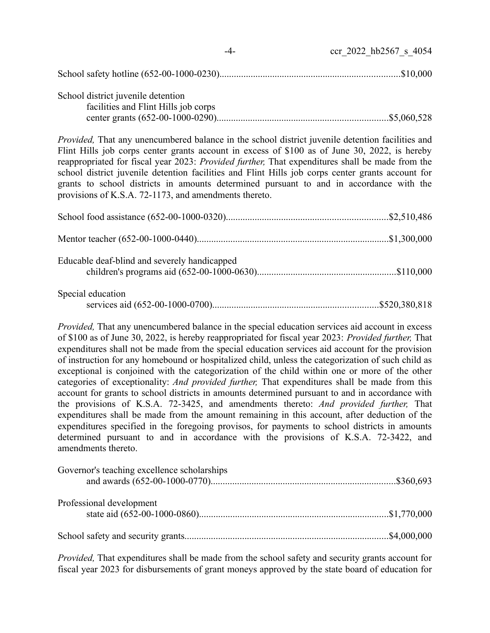|                                                                            | ccr 2022 hb2567 s 4054 |
|----------------------------------------------------------------------------|------------------------|
|                                                                            |                        |
| School district juvenile detention<br>facilities and Flint Hills job corps |                        |

*Provided,* That any unencumbered balance in the school district juvenile detention facilities and Flint Hills job corps center grants account in excess of \$100 as of June 30, 2022, is hereby reappropriated for fiscal year 2023: *Provided further,* That expenditures shall be made from the school district juvenile detention facilities and Flint Hills job corps center grants account for grants to school districts in amounts determined pursuant to and in accordance with the provisions of K.S.A. 72-1173, and amendments thereto.

| Educable deaf-blind and severely handicapped |  |
|----------------------------------------------|--|
| Special education                            |  |

*Provided,* That any unencumbered balance in the special education services aid account in excess of \$100 as of June 30, 2022, is hereby reappropriated for fiscal year 2023: *Provided further,* That expenditures shall not be made from the special education services aid account for the provision of instruction for any homebound or hospitalized child, unless the categorization of such child as exceptional is conjoined with the categorization of the child within one or more of the other categories of exceptionality: *And provided further,* That expenditures shall be made from this account for grants to school districts in amounts determined pursuant to and in accordance with the provisions of K.S.A. 72-3425, and amendments thereto: *And provided further,* That expenditures shall be made from the amount remaining in this account, after deduction of the expenditures specified in the foregoing provisos, for payments to school districts in amounts determined pursuant to and in accordance with the provisions of K.S.A. 72-3422, and amendments thereto.

| Governor's teaching excellence scholarships |  |
|---------------------------------------------|--|
| Professional development                    |  |
|                                             |  |

*Provided,* That expenditures shall be made from the school safety and security grants account for fiscal year 2023 for disbursements of grant moneys approved by the state board of education for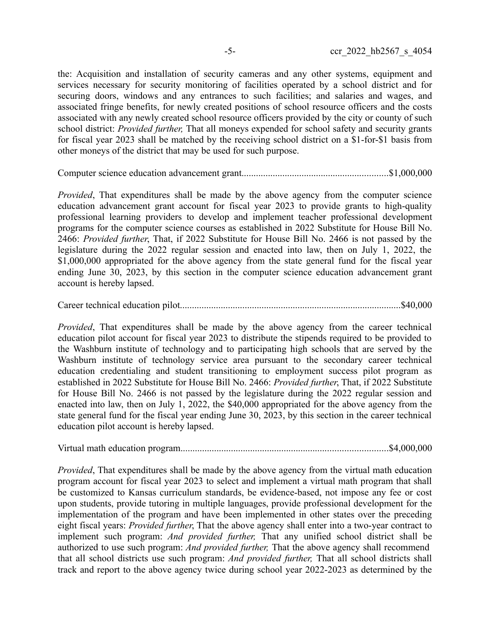the: Acquisition and installation of security cameras and any other systems, equipment and services necessary for security monitoring of facilities operated by a school district and for securing doors, windows and any entrances to such facilities; and salaries and wages, and associated fringe benefits, for newly created positions of school resource officers and the costs associated with any newly created school resource officers provided by the city or county of such school district: *Provided further,* That all moneys expended for school safety and security grants for fiscal year 2023 shall be matched by the receiving school district on a \$1-for-\$1 basis from other moneys of the district that may be used for such purpose.

Computer science education advancement grant.............................................................\$1,000,000

*Provided*. That expenditures shall be made by the above agency from the computer science education advancement grant account for fiscal year 2023 to provide grants to high-quality professional learning providers to develop and implement teacher professional development programs for the computer science courses as established in 2022 Substitute for House Bill No. 2466: *Provided further*, That, if 2022 Substitute for House Bill No. 2466 is not passed by the legislature during the 2022 regular session and enacted into law, then on July 1, 2022, the \$1,000,000 appropriated for the above agency from the state general fund for the fiscal year ending June 30, 2023, by this section in the computer science education advancement grant account is hereby lapsed.

Career technical education pilot............................................................................................\$40,000

*Provided*, That expenditures shall be made by the above agency from the career technical education pilot account for fiscal year 2023 to distribute the stipends required to be provided to the Washburn institute of technology and to participating high schools that are served by the Washburn institute of technology service area pursuant to the secondary career technical education credentialing and student transitioning to employment success pilot program as established in 2022 Substitute for House Bill No. 2466: *Provided further*, That, if 2022 Substitute for House Bill No. 2466 is not passed by the legislature during the 2022 regular session and enacted into law, then on July 1, 2022, the \$40,000 appropriated for the above agency from the state general fund for the fiscal year ending June 30, 2023, by this section in the career technical education pilot account is hereby lapsed.

Virtual math education program......................................................................................\$4,000,000

*Provided*, That expenditures shall be made by the above agency from the virtual math education program account for fiscal year 2023 to select and implement a virtual math program that shall be customized to Kansas curriculum standards, be evidence-based, not impose any fee or cost upon students, provide tutoring in multiple languages, provide professional development for the implementation of the program and have been implemented in other states over the preceding eight fiscal years: *Provided further*, That the above agency shall enter into a two-year contract to implement such program: *And provided further,* That any unified school district shall be authorized to use such program: *And provided further,* That the above agency shall recommend that all school districts use such program: *And provided further,* That all school districts shall track and report to the above agency twice during school year 2022-2023 as determined by the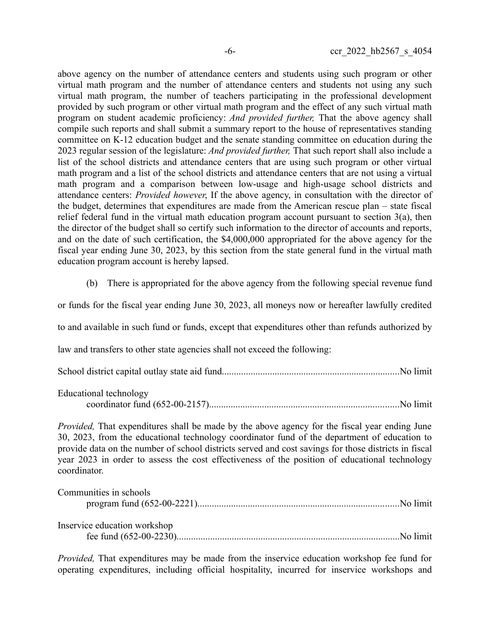above agency on the number of attendance centers and students using such program or other virtual math program and the number of attendance centers and students not using any such virtual math program, the number of teachers participating in the professional development provided by such program or other virtual math program and the effect of any such virtual math program on student academic proficiency: *And provided further,* That the above agency shall compile such reports and shall submit a summary report to the house of representatives standing committee on K-12 education budget and the senate standing committee on education during the 2023 regular session of the legislature: *And provided further,* That such report shall also include a list of the school districts and attendance centers that are using such program or other virtual math program and a list of the school districts and attendance centers that are not using a virtual math program and a comparison between low-usage and high-usage school districts and attendance centers: *Provided however*, If the above agency, in consultation with the director of the budget, determines that expenditures are made from the American rescue plan – state fiscal relief federal fund in the virtual math education program account pursuant to section 3(a), then the director of the budget shall so certify such information to the director of accounts and reports, and on the date of such certification, the \$4,000,000 appropriated for the above agency for the fiscal year ending June 30, 2023, by this section from the state general fund in the virtual math education program account is hereby lapsed.

(b) There is appropriated for the above agency from the following special revenue fund

or funds for the fiscal year ending June 30, 2023, all moneys now or hereafter lawfully credited

to and available in such fund or funds, except that expenditures other than refunds authorized by

law and transfers to other state agencies shall not exceed the following:

|--|--|--|--|--|

| Educational technology |  |
|------------------------|--|
|                        |  |

*Provided,* That expenditures shall be made by the above agency for the fiscal year ending June 30, 2023, from the educational technology coordinator fund of the department of education to provide data on the number of school districts served and cost savings for those districts in fiscal year 2023 in order to assess the cost effectiveness of the position of educational technology coordinator.

| Communities in schools       |  |
|------------------------------|--|
|                              |  |
|                              |  |
| Inservice education workshop |  |
|                              |  |

*Provided,* That expenditures may be made from the inservice education workshop fee fund for operating expenditures, including official hospitality, incurred for inservice workshops and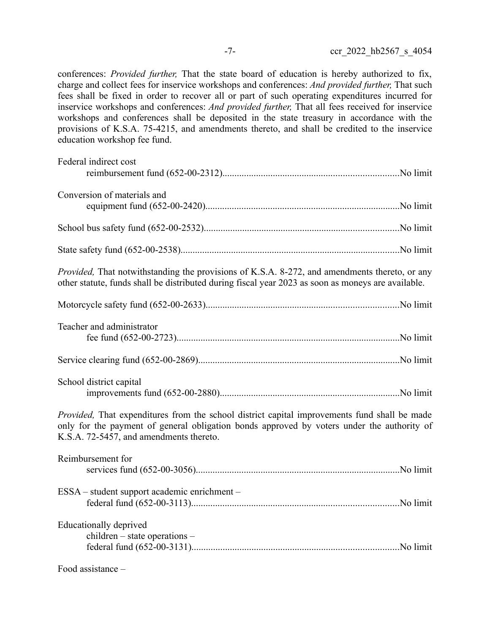conferences: *Provided further,* That the state board of education is hereby authorized to fix, charge and collect fees for inservice workshops and conferences: *And provided further,* That such fees shall be fixed in order to recover all or part of such operating expenditures incurred for inservice workshops and conferences: *And provided further,* That all fees received for inservice workshops and conferences shall be deposited in the state treasury in accordance with the provisions of K.S.A. 75-4215, and amendments thereto, and shall be credited to the inservice education workshop fee fund.

| Federal indirect cost                                                                                                                                                                                                                 |  |
|---------------------------------------------------------------------------------------------------------------------------------------------------------------------------------------------------------------------------------------|--|
| Conversion of materials and                                                                                                                                                                                                           |  |
|                                                                                                                                                                                                                                       |  |
|                                                                                                                                                                                                                                       |  |
| Provided, That notwithstanding the provisions of K.S.A. 8-272, and amendments thereto, or any<br>other statute, funds shall be distributed during fiscal year 2023 as soon as moneys are available.                                   |  |
|                                                                                                                                                                                                                                       |  |
| Teacher and administrator                                                                                                                                                                                                             |  |
|                                                                                                                                                                                                                                       |  |
| School district capital                                                                                                                                                                                                               |  |
| Provided, That expenditures from the school district capital improvements fund shall be made<br>only for the payment of general obligation bonds approved by voters under the authority of<br>K.S.A. 72-5457, and amendments thereto. |  |
| Reimbursement for                                                                                                                                                                                                                     |  |
| ESSA – student support academic enrichment –                                                                                                                                                                                          |  |
| Educationally deprived<br>$children - state operations -$                                                                                                                                                                             |  |
| $Food$ assistance $-$                                                                                                                                                                                                                 |  |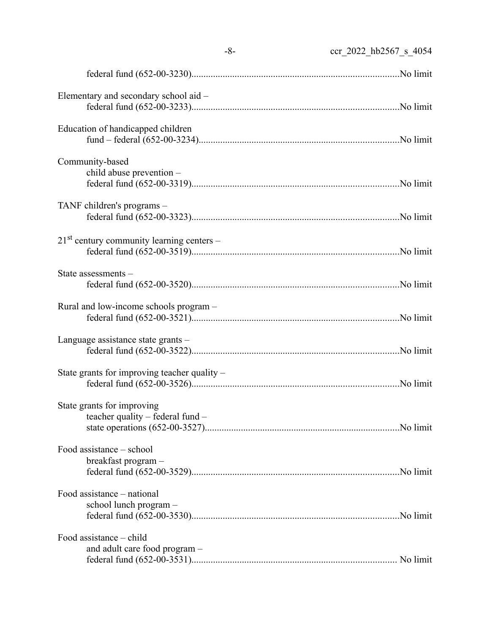|                                                                | $-8-$<br>ccr 2022 hb2567 s 4054 |
|----------------------------------------------------------------|---------------------------------|
|                                                                |                                 |
| Elementary and secondary school aid -                          |                                 |
| Education of handicapped children                              |                                 |
| Community-based<br>child abuse prevention -                    |                                 |
| TANF children's programs -                                     |                                 |
| $21st$ century community learning centers –                    |                                 |
| State assessments -                                            |                                 |
| Rural and low-income schools program -                         |                                 |
| Language assistance state grants –                             |                                 |
| State grants for improving teacher quality –                   |                                 |
| State grants for improving<br>teacher quality – federal fund – |                                 |
| Food assistance – school<br>breakfast program -                |                                 |
| Food assistance – national<br>school lunch program -           |                                 |
| Food assistance - child<br>and adult care food program -       |                                 |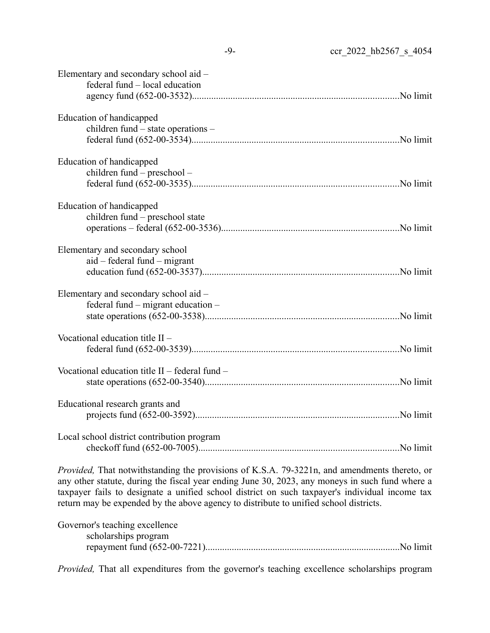| Elementary and secondary school aid -<br>federal fund – local education         |  |
|---------------------------------------------------------------------------------|--|
| Education of handicapped<br>children fund - state operations -                  |  |
| Education of handicapped<br>children fund – preschool –                         |  |
| Education of handicapped<br>children fund - preschool state                     |  |
| Elementary and secondary school<br>$aid - federal fund - migrant$               |  |
| Elementary and secondary school aid -<br>federal fund $-$ migrant education $-$ |  |
| Vocational education title II -                                                 |  |
| Vocational education title $II$ – federal fund –                                |  |
| Educational research grants and                                                 |  |
| Local school district contribution program                                      |  |
|                                                                                 |  |

*Provided,* That notwithstanding the provisions of K.S.A. 79-3221n, and amendments thereto, or any other statute, during the fiscal year ending June 30, 2023, any moneys in such fund where a taxpayer fails to designate a unified school district on such taxpayer's individual income tax return may be expended by the above agency to distribute to unified school districts.

| Governor's teaching excellence |  |
|--------------------------------|--|
| scholarships program           |  |
|                                |  |

*Provided,* That all expenditures from the governor's teaching excellence scholarships program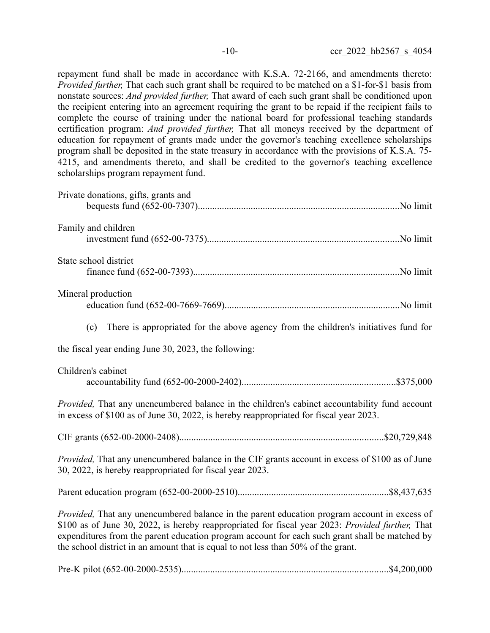repayment fund shall be made in accordance with K.S.A. 72-2166, and amendments thereto: *Provided further,* That each such grant shall be required to be matched on a \$1-for-\$1 basis from nonstate sources: *And provided further,* That award of each such grant shall be conditioned upon the recipient entering into an agreement requiring the grant to be repaid if the recipient fails to complete the course of training under the national board for professional teaching standards certification program: *And provided further,* That all moneys received by the department of education for repayment of grants made under the governor's teaching excellence scholarships program shall be deposited in the state treasury in accordance with the provisions of K.S.A. 75- 4215, and amendments thereto, and shall be credited to the governor's teaching excellence scholarships program repayment fund.

| Private donations, gifts, grants and                                                                                                                                                                                                                                                                                                                                                    |
|-----------------------------------------------------------------------------------------------------------------------------------------------------------------------------------------------------------------------------------------------------------------------------------------------------------------------------------------------------------------------------------------|
| Family and children                                                                                                                                                                                                                                                                                                                                                                     |
| State school district                                                                                                                                                                                                                                                                                                                                                                   |
| Mineral production                                                                                                                                                                                                                                                                                                                                                                      |
| (c) There is appropriated for the above agency from the children's initiatives fund for                                                                                                                                                                                                                                                                                                 |
| the fiscal year ending June 30, 2023, the following:                                                                                                                                                                                                                                                                                                                                    |
| Children's cabinet                                                                                                                                                                                                                                                                                                                                                                      |
| <i>Provided</i> , That any unencumbered balance in the children's cabinet accountability fund account<br>in excess of \$100 as of June 30, 2022, is hereby reappropriated for fiscal year 2023.                                                                                                                                                                                         |
|                                                                                                                                                                                                                                                                                                                                                                                         |
| <i>Provided</i> , That any unencumbered balance in the CIF grants account in excess of \$100 as of June<br>30, 2022, is hereby reappropriated for fiscal year 2023.                                                                                                                                                                                                                     |
|                                                                                                                                                                                                                                                                                                                                                                                         |
| Provided, That any unencumbered balance in the parent education program account in excess of<br>\$100 as of June 30, 2022, is hereby reappropriated for fiscal year 2023: Provided further, That<br>expenditures from the parent education program account for each such grant shall be matched by<br>the school district in an amount that is equal to not less than 50% of the grant. |
|                                                                                                                                                                                                                                                                                                                                                                                         |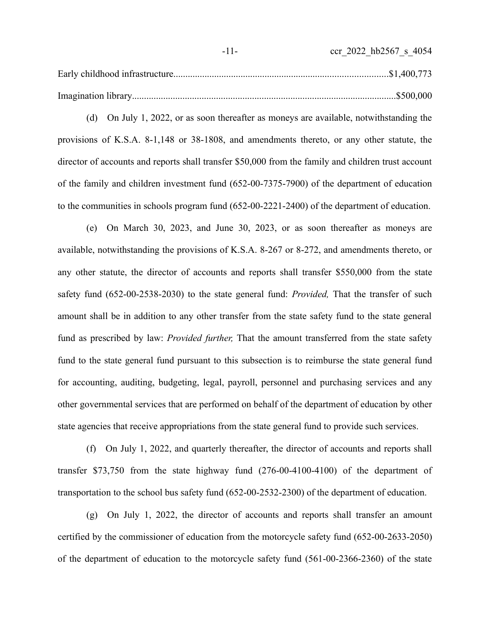(d) On July 1, 2022, or as soon thereafter as moneys are available, notwithstanding the provisions of K.S.A. 8-1,148 or 38-1808, and amendments thereto, or any other statute, the director of accounts and reports shall transfer \$50,000 from the family and children trust account of the family and children investment fund (652-00-7375-7900) of the department of education to the communities in schools program fund (652-00-2221-2400) of the department of education.

(e) On March 30, 2023, and June 30, 2023, or as soon thereafter as moneys are available, notwithstanding the provisions of K.S.A. 8-267 or 8-272, and amendments thereto, or any other statute, the director of accounts and reports shall transfer \$550,000 from the state safety fund (652-00-2538-2030) to the state general fund: *Provided,* That the transfer of such amount shall be in addition to any other transfer from the state safety fund to the state general fund as prescribed by law: *Provided further,* That the amount transferred from the state safety fund to the state general fund pursuant to this subsection is to reimburse the state general fund for accounting, auditing, budgeting, legal, payroll, personnel and purchasing services and any other governmental services that are performed on behalf of the department of education by other state agencies that receive appropriations from the state general fund to provide such services.

(f) On July 1, 2022, and quarterly thereafter, the director of accounts and reports shall transfer \$73,750 from the state highway fund (276-00-4100-4100) of the department of transportation to the school bus safety fund (652-00-2532-2300) of the department of education.

(g) On July 1, 2022, the director of accounts and reports shall transfer an amount certified by the commissioner of education from the motorcycle safety fund (652-00-2633-2050) of the department of education to the motorcycle safety fund (561-00-2366-2360) of the state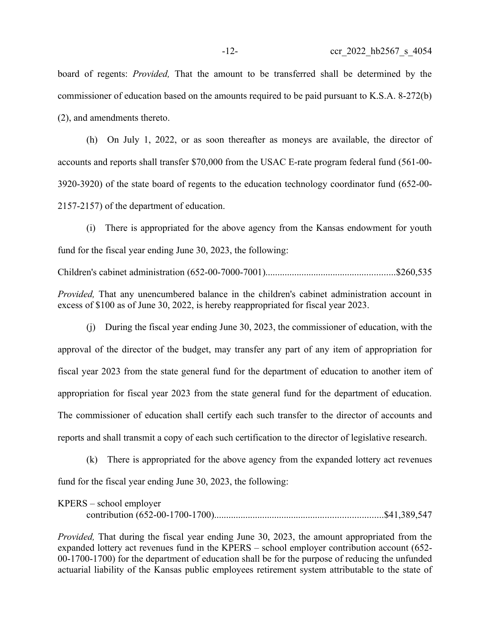board of regents: *Provided,* That the amount to be transferred shall be determined by the commissioner of education based on the amounts required to be paid pursuant to K.S.A. 8-272(b) (2), and amendments thereto.

(h) On July 1, 2022, or as soon thereafter as moneys are available, the director of accounts and reports shall transfer \$70,000 from the USAC E-rate program federal fund (561-00- 3920-3920) of the state board of regents to the education technology coordinator fund (652-00- 2157-2157) of the department of education.

(i) There is appropriated for the above agency from the Kansas endowment for youth fund for the fiscal year ending June 30, 2023, the following: Children's cabinet administration (652-00-7000-7001)......................................................\$260,535 *Provided,* That any unencumbered balance in the children's cabinet administration account in

excess of \$100 as of June 30, 2022, is hereby reappropriated for fiscal year 2023. (j) During the fiscal year ending June 30, 2023, the commissioner of education, with the

approval of the director of the budget, may transfer any part of any item of appropriation for fiscal year 2023 from the state general fund for the department of education to another item of appropriation for fiscal year 2023 from the state general fund for the department of education. The commissioner of education shall certify each such transfer to the director of accounts and reports and shall transmit a copy of each such certification to the director of legislative research.

(k) There is appropriated for the above agency from the expanded lottery act revenues fund for the fiscal year ending June 30, 2023, the following:

| $KPERS - school employer$ |  |
|---------------------------|--|
|                           |  |

*Provided,* That during the fiscal year ending June 30, 2023, the amount appropriated from the expanded lottery act revenues fund in the KPERS – school employer contribution account (652- 00-1700-1700) for the department of education shall be for the purpose of reducing the unfunded actuarial liability of the Kansas public employees retirement system attributable to the state of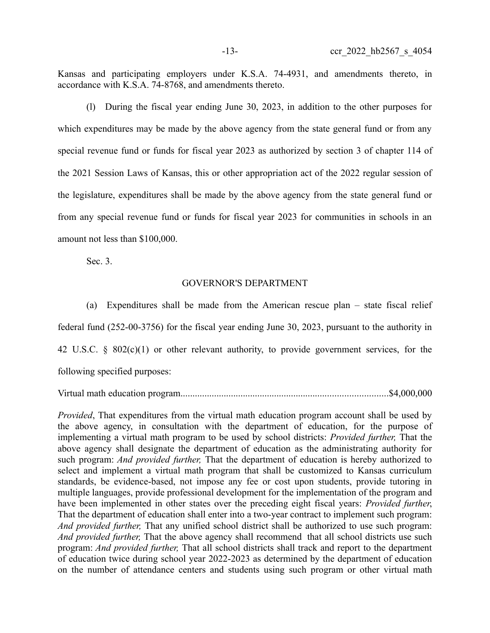Kansas and participating employers under K.S.A. 74-4931, and amendments thereto, in accordance with K.S.A. 74-8768, and amendments thereto.

(l) During the fiscal year ending June 30, 2023, in addition to the other purposes for which expenditures may be made by the above agency from the state general fund or from any special revenue fund or funds for fiscal year 2023 as authorized by section 3 of chapter 114 of the 2021 Session Laws of Kansas, this or other appropriation act of the 2022 regular session of the legislature, expenditures shall be made by the above agency from the state general fund or from any special revenue fund or funds for fiscal year 2023 for communities in schools in an amount not less than \$100,000.

Sec. 3.

#### GOVERNOR'S DEPARTMENT

(a) Expenditures shall be made from the American rescue plan – state fiscal relief federal fund (252-00-3756) for the fiscal year ending June 30, 2023, pursuant to the authority in 42 U.S.C. § 802(c)(1) or other relevant authority, to provide government services, for the following specified purposes:

Virtual math education program......................................................................................\$4,000,000

*Provided*, That expenditures from the virtual math education program account shall be used by the above agency, in consultation with the department of education, for the purpose of implementing a virtual math program to be used by school districts: *Provided further,* That the above agency shall designate the department of education as the administrating authority for such program: *And provided further,* That the department of education is hereby authorized to select and implement a virtual math program that shall be customized to Kansas curriculum standards, be evidence-based, not impose any fee or cost upon students, provide tutoring in multiple languages, provide professional development for the implementation of the program and have been implemented in other states over the preceding eight fiscal years: *Provided further*, That the department of education shall enter into a two-year contract to implement such program: *And provided further,* That any unified school district shall be authorized to use such program: *And provided further,* That the above agency shall recommend that all school districts use such program: *And provided further,* That all school districts shall track and report to the department of education twice during school year 2022-2023 as determined by the department of education on the number of attendance centers and students using such program or other virtual math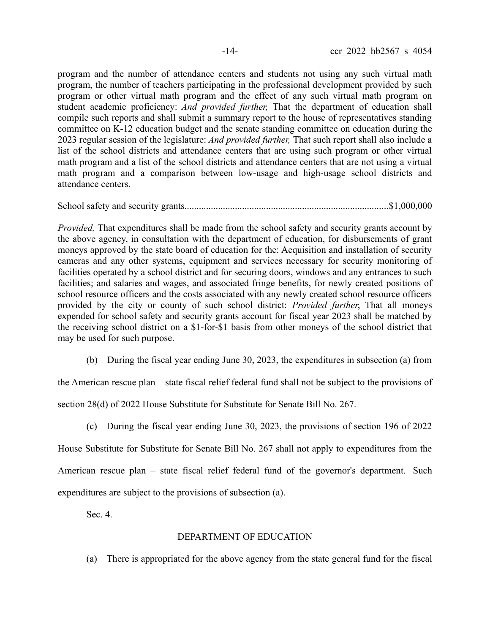program and the number of attendance centers and students not using any such virtual math program, the number of teachers participating in the professional development provided by such program or other virtual math program and the effect of any such virtual math program on student academic proficiency: *And provided further,* That the department of education shall compile such reports and shall submit a summary report to the house of representatives standing committee on K-12 education budget and the senate standing committee on education during the 2023 regular session of the legislature: *And provided further,* That such report shall also include a list of the school districts and attendance centers that are using such program or other virtual math program and a list of the school districts and attendance centers that are not using a virtual math program and a comparison between low-usage and high-usage school districts and attendance centers.

School safety and security grants.....................................................................................\$1,000,000

*Provided*, That expenditures shall be made from the school safety and security grants account by the above agency, in consultation with the department of education, for disbursements of grant moneys approved by the state board of education for the: Acquisition and installation of security cameras and any other systems, equipment and services necessary for security monitoring of facilities operated by a school district and for securing doors, windows and any entrances to such facilities; and salaries and wages, and associated fringe benefits, for newly created positions of school resource officers and the costs associated with any newly created school resource officers provided by the city or county of such school district: *Provided further*, That all moneys expended for school safety and security grants account for fiscal year 2023 shall be matched by the receiving school district on a \$1-for-\$1 basis from other moneys of the school district that may be used for such purpose.

(b) During the fiscal year ending June 30, 2023, the expenditures in subsection (a) from

the American rescue plan – state fiscal relief federal fund shall not be subject to the provisions of section 28(d) of 2022 House Substitute for Substitute for Senate Bill No. 267.

(c) During the fiscal year ending June 30, 2023, the provisions of section 196 of 2022 House Substitute for Substitute for Senate Bill No. 267 shall not apply to expenditures from the American rescue plan – state fiscal relief federal fund of the governor's department. Such expenditures are subject to the provisions of subsection (a).

Sec. 4.

# DEPARTMENT OF EDUCATION

(a) There is appropriated for the above agency from the state general fund for the fiscal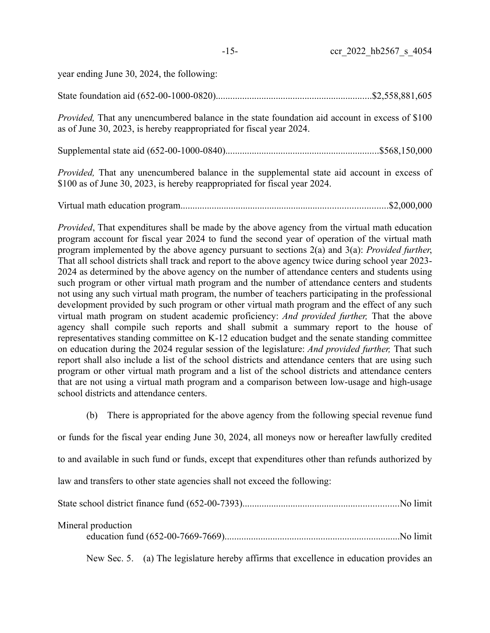| year ending June 30, 2024, the following: |  |  |  |
|-------------------------------------------|--|--|--|

|--|--|--|--|--|

*Provided,* That any unencumbered balance in the state foundation aid account in excess of \$100 as of June 30, 2023, is hereby reappropriated for fiscal year 2024.

Supplemental state aid (652-00-1000-0840)................................................................\$568,150,000

*Provided,* That any unencumbered balance in the supplemental state aid account in excess of \$100 as of June 30, 2023, is hereby reappropriated for fiscal year 2024.

Virtual math education program......................................................................................\$2,000,000

*Provided*, That expenditures shall be made by the above agency from the virtual math education program account for fiscal year 2024 to fund the second year of operation of the virtual math program implemented by the above agency pursuant to sections 2(a) and 3(a): *Provided further*, That all school districts shall track and report to the above agency twice during school year 2023- 2024 as determined by the above agency on the number of attendance centers and students using such program or other virtual math program and the number of attendance centers and students not using any such virtual math program, the number of teachers participating in the professional development provided by such program or other virtual math program and the effect of any such virtual math program on student academic proficiency: *And provided further,* That the above agency shall compile such reports and shall submit a summary report to the house of representatives standing committee on K-12 education budget and the senate standing committee on education during the 2024 regular session of the legislature: *And provided further,* That such report shall also include a list of the school districts and attendance centers that are using such program or other virtual math program and a list of the school districts and attendance centers that are not using a virtual math program and a comparison between low-usage and high-usage school districts and attendance centers.

(b) There is appropriated for the above agency from the following special revenue fund

or funds for the fiscal year ending June 30, 2024, all moneys now or hereafter lawfully credited

to and available in such fund or funds, except that expenditures other than refunds authorized by

law and transfers to other state agencies shall not exceed the following:

State school district finance fund (652-00-7393).................................................................No limit

| Mineral production |  |
|--------------------|--|
|--------------------|--|

|--|--|--|--|--|

New Sec. 5. (a) The legislature hereby affirms that excellence in education provides an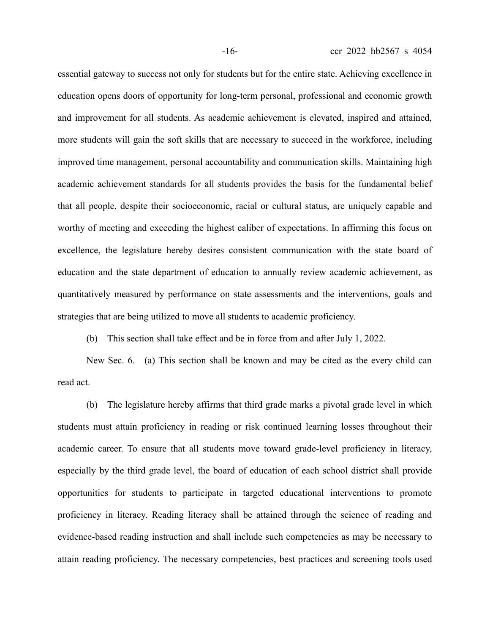essential gateway to success not only for students but for the entire state. Achieving excellence in education opens doors of opportunity for long-term personal, professional and economic growth and improvement for all students. As academic achievement is elevated, inspired and attained, more students will gain the soft skills that are necessary to succeed in the workforce, including improved time management, personal accountability and communication skills. Maintaining high academic achievement standards for all students provides the basis for the fundamental belief that all people, despite their socioeconomic, racial or cultural status, are uniquely capable and worthy of meeting and exceeding the highest caliber of expectations. In affirming this focus on excellence, the legislature hereby desires consistent communication with the state board of education and the state department of education to annually review academic achievement, as quantitatively measured by performance on state assessments and the interventions, goals and strategies that are being utilized to move all students to academic proficiency.

(b) This section shall take effect and be in force from and after July 1, 2022.

New Sec. 6. (a) This section shall be known and may be cited as the every child can read act.

(b) The legislature hereby affirms that third grade marks a pivotal grade level in which students must attain proficiency in reading or risk continued learning losses throughout their academic career. To ensure that all students move toward grade-level proficiency in literacy, especially by the third grade level, the board of education of each school district shall provide opportunities for students to participate in targeted educational interventions to promote proficiency in literacy. Reading literacy shall be attained through the science of reading and evidence-based reading instruction and shall include such competencies as may be necessary to attain reading proficiency. The necessary competencies, best practices and screening tools used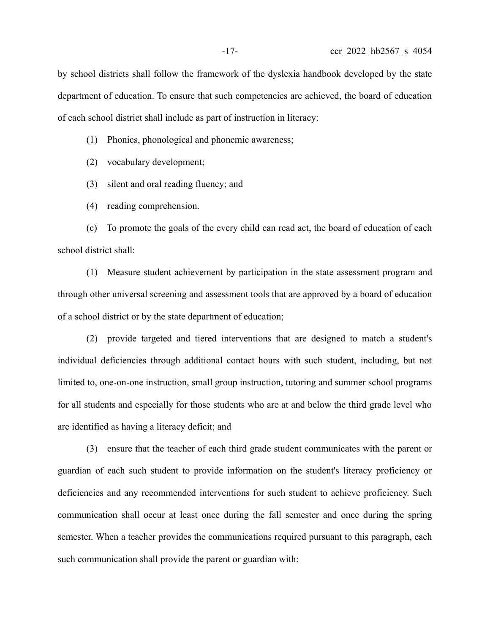by school districts shall follow the framework of the dyslexia handbook developed by the state department of education. To ensure that such competencies are achieved, the board of education of each school district shall include as part of instruction in literacy:

(1) Phonics, phonological and phonemic awareness;

(2) vocabulary development;

(3) silent and oral reading fluency; and

(4) reading comprehension.

(c) To promote the goals of the every child can read act, the board of education of each school district shall:

(1) Measure student achievement by participation in the state assessment program and through other universal screening and assessment tools that are approved by a board of education of a school district or by the state department of education;

(2) provide targeted and tiered interventions that are designed to match a student's individual deficiencies through additional contact hours with such student, including, but not limited to, one-on-one instruction, small group instruction, tutoring and summer school programs for all students and especially for those students who are at and below the third grade level who are identified as having a literacy deficit; and

(3) ensure that the teacher of each third grade student communicates with the parent or guardian of each such student to provide information on the student's literacy proficiency or deficiencies and any recommended interventions for such student to achieve proficiency. Such communication shall occur at least once during the fall semester and once during the spring semester. When a teacher provides the communications required pursuant to this paragraph, each such communication shall provide the parent or guardian with: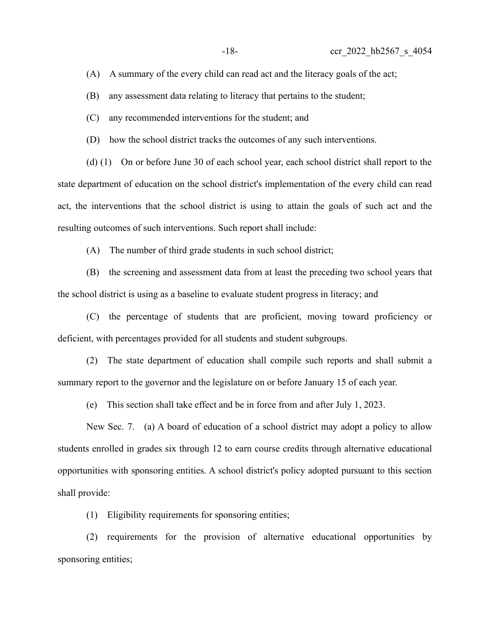(A) A summary of the every child can read act and the literacy goals of the act;

(B) any assessment data relating to literacy that pertains to the student;

(C) any recommended interventions for the student; and

(D) how the school district tracks the outcomes of any such interventions.

(d) (1) On or before June 30 of each school year, each school district shall report to the state department of education on the school district's implementation of the every child can read act, the interventions that the school district is using to attain the goals of such act and the resulting outcomes of such interventions. Such report shall include:

(A) The number of third grade students in such school district;

(B) the screening and assessment data from at least the preceding two school years that the school district is using as a baseline to evaluate student progress in literacy; and

(C) the percentage of students that are proficient, moving toward proficiency or deficient, with percentages provided for all students and student subgroups.

(2) The state department of education shall compile such reports and shall submit a summary report to the governor and the legislature on or before January 15 of each year.

(e) This section shall take effect and be in force from and after July 1, 2023.

New Sec. 7. (a) A board of education of a school district may adopt a policy to allow students enrolled in grades six through 12 to earn course credits through alternative educational opportunities with sponsoring entities. A school district's policy adopted pursuant to this section shall provide:

(1) Eligibility requirements for sponsoring entities;

(2) requirements for the provision of alternative educational opportunities by sponsoring entities;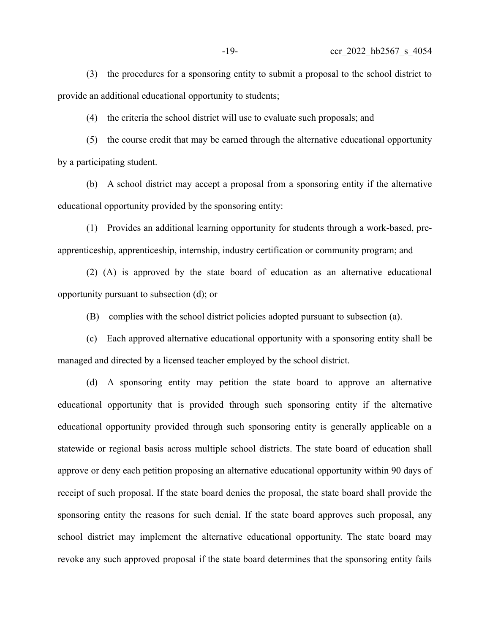(3) the procedures for a sponsoring entity to submit a proposal to the school district to provide an additional educational opportunity to students;

(4) the criteria the school district will use to evaluate such proposals; and

(5) the course credit that may be earned through the alternative educational opportunity by a participating student.

(b) A school district may accept a proposal from a sponsoring entity if the alternative educational opportunity provided by the sponsoring entity:

(1) Provides an additional learning opportunity for students through a work-based, preapprenticeship, apprenticeship, internship, industry certification or community program; and

(2) (A) is approved by the state board of education as an alternative educational opportunity pursuant to subsection (d); or

(B) complies with the school district policies adopted pursuant to subsection (a).

(c) Each approved alternative educational opportunity with a sponsoring entity shall be managed and directed by a licensed teacher employed by the school district.

(d) A sponsoring entity may petition the state board to approve an alternative educational opportunity that is provided through such sponsoring entity if the alternative educational opportunity provided through such sponsoring entity is generally applicable on a statewide or regional basis across multiple school districts. The state board of education shall approve or deny each petition proposing an alternative educational opportunity within 90 days of receipt of such proposal. If the state board denies the proposal, the state board shall provide the sponsoring entity the reasons for such denial. If the state board approves such proposal, any school district may implement the alternative educational opportunity. The state board may revoke any such approved proposal if the state board determines that the sponsoring entity fails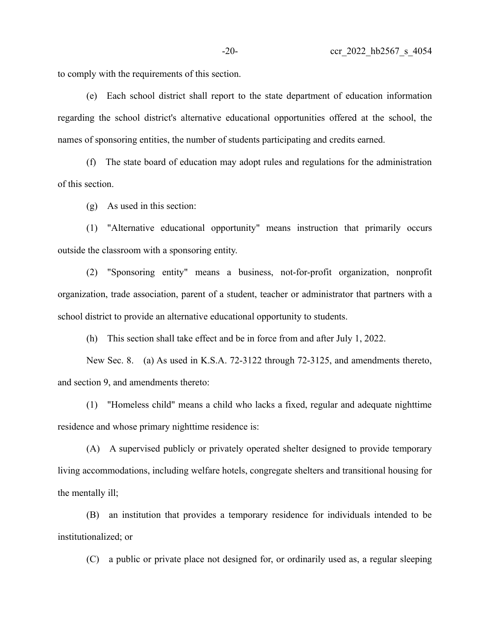to comply with the requirements of this section.

(e) Each school district shall report to the state department of education information regarding the school district's alternative educational opportunities offered at the school, the names of sponsoring entities, the number of students participating and credits earned.

(f) The state board of education may adopt rules and regulations for the administration of this section.

(g) As used in this section:

(1) "Alternative educational opportunity" means instruction that primarily occurs outside the classroom with a sponsoring entity.

(2) "Sponsoring entity" means a business, not-for-profit organization, nonprofit organization, trade association, parent of a student, teacher or administrator that partners with a school district to provide an alternative educational opportunity to students.

(h) This section shall take effect and be in force from and after July 1, 2022.

New Sec. 8. (a) As used in K.S.A. 72-3122 through 72-3125, and amendments thereto, and section 9, and amendments thereto:

(1) "Homeless child" means a child who lacks a fixed, regular and adequate nighttime residence and whose primary nighttime residence is:

(A) A supervised publicly or privately operated shelter designed to provide temporary living accommodations, including welfare hotels, congregate shelters and transitional housing for the mentally ill;

(B) an institution that provides a temporary residence for individuals intended to be institutionalized; or

(C) a public or private place not designed for, or ordinarily used as, a regular sleeping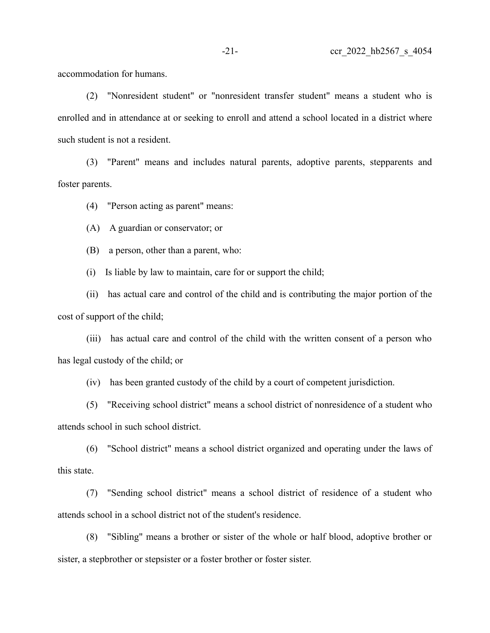accommodation for humans.

(2) "Nonresident student" or "nonresident transfer student" means a student who is enrolled and in attendance at or seeking to enroll and attend a school located in a district where such student is not a resident.

(3) "Parent" means and includes natural parents, adoptive parents, stepparents and foster parents.

(4) "Person acting as parent" means:

(A) A guardian or conservator; or

(B) a person, other than a parent, who:

(i) Is liable by law to maintain, care for or support the child;

(ii) has actual care and control of the child and is contributing the major portion of the cost of support of the child;

(iii) has actual care and control of the child with the written consent of a person who has legal custody of the child; or

(iv) has been granted custody of the child by a court of competent jurisdiction.

(5) "Receiving school district" means a school district of nonresidence of a student who attends school in such school district.

(6) "School district" means a school district organized and operating under the laws of this state.

(7) "Sending school district" means a school district of residence of a student who attends school in a school district not of the student's residence.

(8) "Sibling" means a brother or sister of the whole or half blood, adoptive brother or sister, a stepbrother or stepsister or a foster brother or foster sister.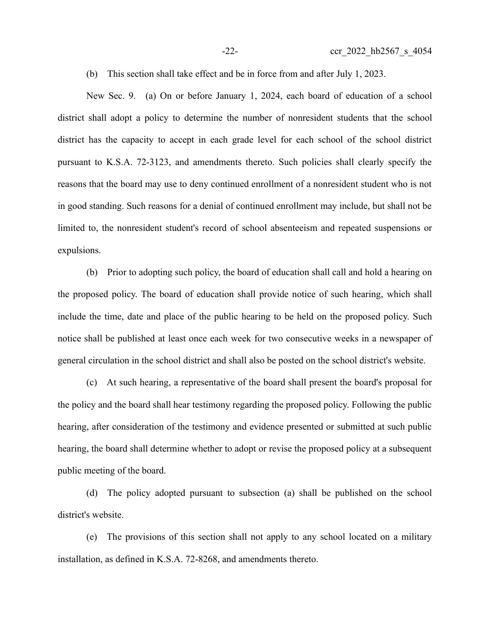(b) This section shall take effect and be in force from and after July 1, 2023.

New Sec. 9. (a) On or before January 1, 2024, each board of education of a school district shall adopt a policy to determine the number of nonresident students that the school district has the capacity to accept in each grade level for each school of the school district pursuant to K.S.A. 72-3123, and amendments thereto. Such policies shall clearly specify the reasons that the board may use to deny continued enrollment of a nonresident student who is not in good standing. Such reasons for a denial of continued enrollment may include, but shall not be limited to, the nonresident student's record of school absenteeism and repeated suspensions or expulsions.

(b) Prior to adopting such policy, the board of education shall call and hold a hearing on the proposed policy. The board of education shall provide notice of such hearing, which shall include the time, date and place of the public hearing to be held on the proposed policy. Such notice shall be published at least once each week for two consecutive weeks in a newspaper of general circulation in the school district and shall also be posted on the school district's website.

(c) At such hearing, a representative of the board shall present the board's proposal for the policy and the board shall hear testimony regarding the proposed policy. Following the public hearing, after consideration of the testimony and evidence presented or submitted at such public hearing, the board shall determine whether to adopt or revise the proposed policy at a subsequent public meeting of the board.

(d) The policy adopted pursuant to subsection (a) shall be published on the school district's website.

(e) The provisions of this section shall not apply to any school located on a military installation, as defined in K.S.A. 72-8268, and amendments thereto.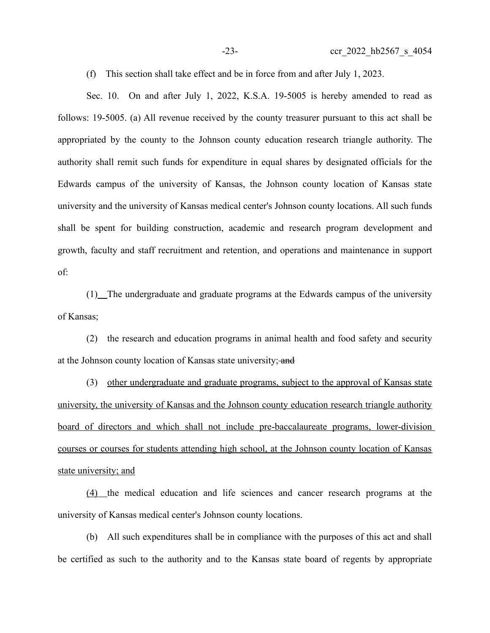(f) This section shall take effect and be in force from and after July 1, 2023.

Sec. 10. On and after July 1, 2022, K.S.A. 19-5005 is hereby amended to read as follows: 19-5005. (a) All revenue received by the county treasurer pursuant to this act shall be appropriated by the county to the Johnson county education research triangle authority. The authority shall remit such funds for expenditure in equal shares by designated officials for the Edwards campus of the university of Kansas, the Johnson county location of Kansas state university and the university of Kansas medical center's Johnson county locations. All such funds shall be spent for building construction, academic and research program development and growth, faculty and staff recruitment and retention, and operations and maintenance in support of:

(1) The undergraduate and graduate programs at the Edwards campus of the university of Kansas;

(2) the research and education programs in animal health and food safety and security at the Johnson county location of Kansas state university; and

(3) other undergraduate and graduate programs, subject to the approval of Kansas state university, the university of Kansas and the Johnson county education research triangle authority board of directors and which shall not include pre-baccalaureate programs, lower-division courses or courses for students attending high school, at the Johnson county location of Kansas state university; and

 (4) the medical education and life sciences and cancer research programs at the university of Kansas medical center's Johnson county locations.

(b) All such expenditures shall be in compliance with the purposes of this act and shall be certified as such to the authority and to the Kansas state board of regents by appropriate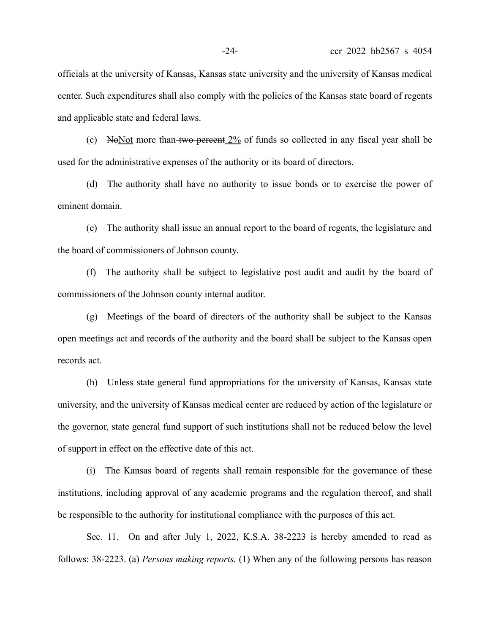officials at the university of Kansas, Kansas state university and the university of Kansas medical center. Such expenditures shall also comply with the policies of the Kansas state board of regents and applicable state and federal laws.

(c) No Not more than two percent  $2\%$  of funds so collected in any fiscal year shall be used for the administrative expenses of the authority or its board of directors.

(d) The authority shall have no authority to issue bonds or to exercise the power of eminent domain.

(e) The authority shall issue an annual report to the board of regents, the legislature and the board of commissioners of Johnson county.

(f) The authority shall be subject to legislative post audit and audit by the board of commissioners of the Johnson county internal auditor.

(g) Meetings of the board of directors of the authority shall be subject to the Kansas open meetings act and records of the authority and the board shall be subject to the Kansas open records act.

(h) Unless state general fund appropriations for the university of Kansas, Kansas state university, and the university of Kansas medical center are reduced by action of the legislature or the governor, state general fund support of such institutions shall not be reduced below the level of support in effect on the effective date of this act.

(i) The Kansas board of regents shall remain responsible for the governance of these institutions, including approval of any academic programs and the regulation thereof, and shall be responsible to the authority for institutional compliance with the purposes of this act.

Sec. 11. On and after July 1, 2022, K.S.A. 38-2223 is hereby amended to read as follows: 38-2223. (a) *Persons making reports.* (1) When any of the following persons has reason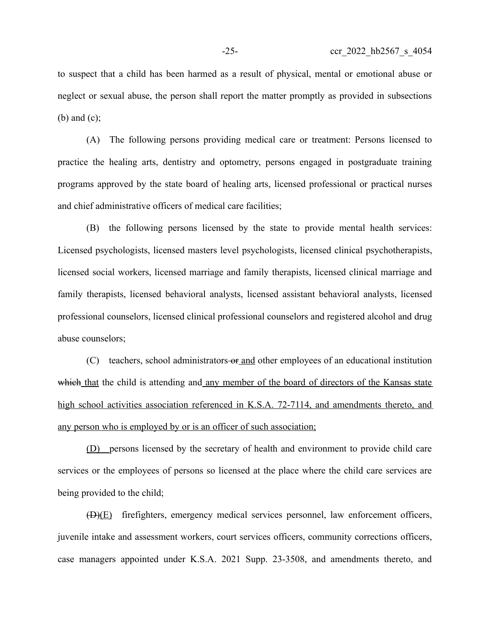to suspect that a child has been harmed as a result of physical, mental or emotional abuse or neglect or sexual abuse, the person shall report the matter promptly as provided in subsections (b) and (c);

(A) The following persons providing medical care or treatment: Persons licensed to practice the healing arts, dentistry and optometry, persons engaged in postgraduate training programs approved by the state board of healing arts, licensed professional or practical nurses and chief administrative officers of medical care facilities;

(B) the following persons licensed by the state to provide mental health services: Licensed psychologists, licensed masters level psychologists, licensed clinical psychotherapists, licensed social workers, licensed marriage and family therapists, licensed clinical marriage and family therapists, licensed behavioral analysts, licensed assistant behavioral analysts, licensed professional counselors, licensed clinical professional counselors and registered alcohol and drug abuse counselors;

(C) teachers, school administrators-or and other employees of an educational institution which that the child is attending and any member of the board of directors of the Kansas state high school activities association referenced in K.S.A. 72-7114, and amendments thereto, and any person who is employed by or is an officer of such association;

(D) persons licensed by the secretary of health and environment to provide child care services or the employees of persons so licensed at the place where the child care services are being provided to the child;

(D)(E) firefighters, emergency medical services personnel, law enforcement officers, juvenile intake and assessment workers, court services officers, community corrections officers, case managers appointed under K.S.A. 2021 Supp. 23-3508, and amendments thereto, and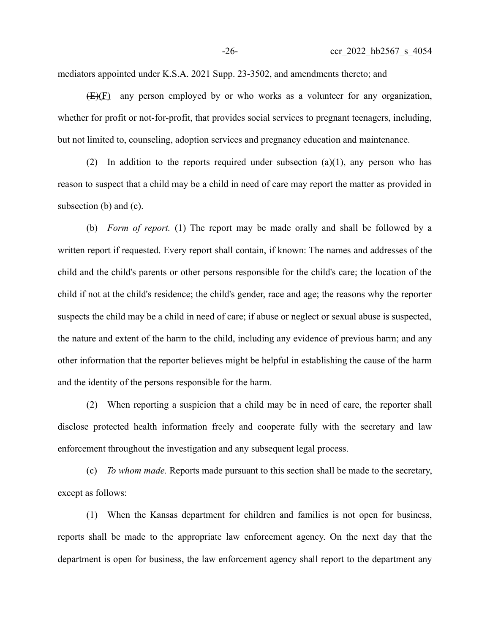mediators appointed under K.S.A. 2021 Supp. 23-3502, and amendments thereto; and

 $(E)(E)$  any person employed by or who works as a volunteer for any organization, whether for profit or not-for-profit, that provides social services to pregnant teenagers, including, but not limited to, counseling, adoption services and pregnancy education and maintenance.

(2) In addition to the reports required under subsection  $(a)(1)$ , any person who has reason to suspect that a child may be a child in need of care may report the matter as provided in subsection (b) and (c).

(b) *Form of report.* (1) The report may be made orally and shall be followed by a written report if requested. Every report shall contain, if known: The names and addresses of the child and the child's parents or other persons responsible for the child's care; the location of the child if not at the child's residence; the child's gender, race and age; the reasons why the reporter suspects the child may be a child in need of care; if abuse or neglect or sexual abuse is suspected, the nature and extent of the harm to the child, including any evidence of previous harm; and any other information that the reporter believes might be helpful in establishing the cause of the harm and the identity of the persons responsible for the harm.

(2) When reporting a suspicion that a child may be in need of care, the reporter shall disclose protected health information freely and cooperate fully with the secretary and law enforcement throughout the investigation and any subsequent legal process.

(c) *To whom made.* Reports made pursuant to this section shall be made to the secretary, except as follows:

(1) When the Kansas department for children and families is not open for business, reports shall be made to the appropriate law enforcement agency. On the next day that the department is open for business, the law enforcement agency shall report to the department any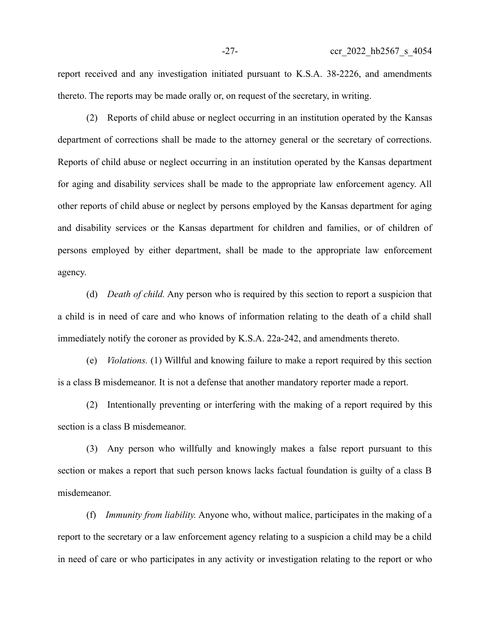report received and any investigation initiated pursuant to K.S.A. 38-2226, and amendments thereto. The reports may be made orally or, on request of the secretary, in writing.

(2) Reports of child abuse or neglect occurring in an institution operated by the Kansas department of corrections shall be made to the attorney general or the secretary of corrections. Reports of child abuse or neglect occurring in an institution operated by the Kansas department for aging and disability services shall be made to the appropriate law enforcement agency. All other reports of child abuse or neglect by persons employed by the Kansas department for aging and disability services or the Kansas department for children and families, or of children of persons employed by either department, shall be made to the appropriate law enforcement agency.

(d) *Death of child.* Any person who is required by this section to report a suspicion that a child is in need of care and who knows of information relating to the death of a child shall immediately notify the coroner as provided by K.S.A. 22a-242, and amendments thereto.

(e) *Violations.* (1) Willful and knowing failure to make a report required by this section is a class B misdemeanor. It is not a defense that another mandatory reporter made a report.

(2) Intentionally preventing or interfering with the making of a report required by this section is a class B misdemeanor.

(3) Any person who willfully and knowingly makes a false report pursuant to this section or makes a report that such person knows lacks factual foundation is guilty of a class B misdemeanor.

(f) *Immunity from liability.* Anyone who, without malice, participates in the making of a report to the secretary or a law enforcement agency relating to a suspicion a child may be a child in need of care or who participates in any activity or investigation relating to the report or who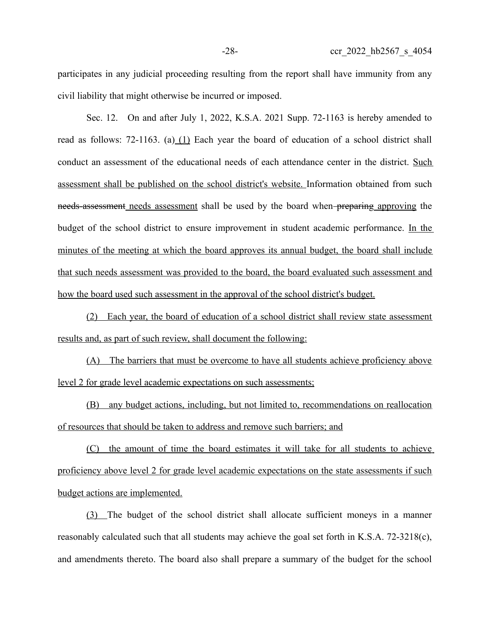participates in any judicial proceeding resulting from the report shall have immunity from any civil liability that might otherwise be incurred or imposed.

Sec. 12. On and after July 1, 2022, K.S.A. 2021 Supp. 72-1163 is hereby amended to read as follows: 72-1163. (a) (1) Each year the board of education of a school district shall conduct an assessment of the educational needs of each attendance center in the district. Such assessment shall be published on the school district's website. Information obtained from such needs-assessment needs assessment shall be used by the board when preparing approving the budget of the school district to ensure improvement in student academic performance. In the minutes of the meeting at which the board approves its annual budget, the board shall include that such needs assessment was provided to the board, the board evaluated such assessment and how the board used such assessment in the approval of the school district's budget.

(2) Each year, the board of education of a school district shall review state assessment results and, as part of such review, shall document the following:

(A) The barriers that must be overcome to have all students achieve proficiency above level 2 for grade level academic expectations on such assessments;

(B) any budget actions, including, but not limited to, recommendations on reallocation of resources that should be taken to address and remove such barriers; and

(C) the amount of time the board estimates it will take for all students to achieve proficiency above level 2 for grade level academic expectations on the state assessments if such budget actions are implemented.

(3) The budget of the school district shall allocate sufficient moneys in a manner reasonably calculated such that all students may achieve the goal set forth in K.S.A. 72-3218(c), and amendments thereto. The board also shall prepare a summary of the budget for the school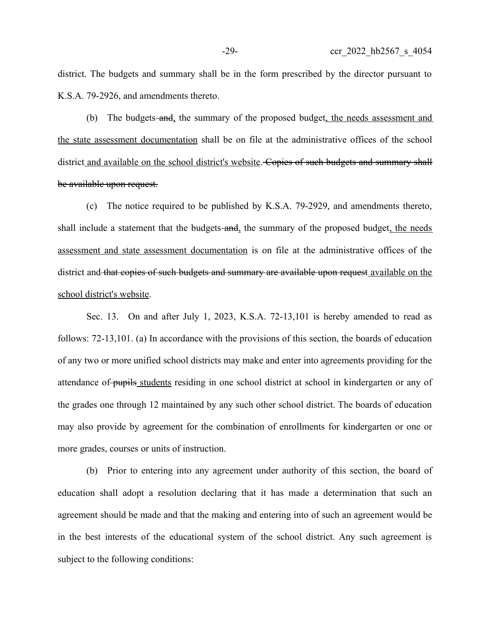district. The budgets and summary shall be in the form prescribed by the director pursuant to K.S.A. 79-2926, and amendments thereto.

(b) The budgets-and, the summary of the proposed budget, the needs assessment and the state assessment documentation shall be on file at the administrative offices of the school district and available on the school district's website. Copies of such budgets and summary shall be available upon request.

(c) The notice required to be published by K.S.A. 79-2929, and amendments thereto, shall include a statement that the budgets-and, the summary of the proposed budget, the needs assessment and state assessment documentation is on file at the administrative offices of the district and that copies of such budgets and summary are available upon request available on the school district's website.

Sec. 13. On and after July 1, 2023, K.S.A. 72-13,101 is hereby amended to read as follows: 72-13,101. (a) In accordance with the provisions of this section, the boards of education of any two or more unified school districts may make and enter into agreements providing for the attendance of pupils students residing in one school district at school in kindergarten or any of the grades one through 12 maintained by any such other school district. The boards of education may also provide by agreement for the combination of enrollments for kindergarten or one or more grades, courses or units of instruction.

(b) Prior to entering into any agreement under authority of this section, the board of education shall adopt a resolution declaring that it has made a determination that such an agreement should be made and that the making and entering into of such an agreement would be in the best interests of the educational system of the school district. Any such agreement is subject to the following conditions: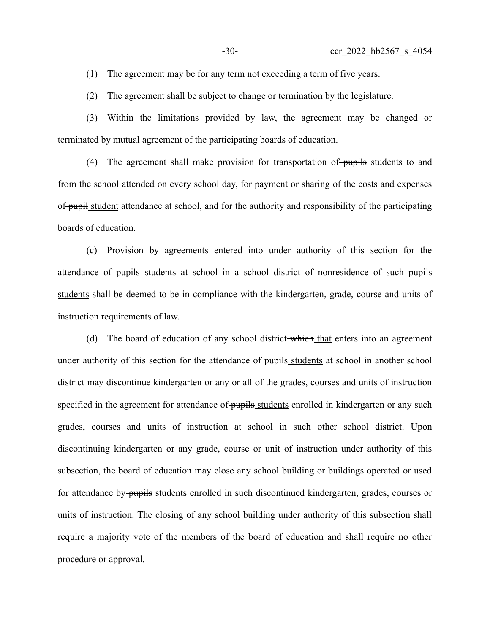(1) The agreement may be for any term not exceeding a term of five years.

(2) The agreement shall be subject to change or termination by the legislature.

(3) Within the limitations provided by law, the agreement may be changed or terminated by mutual agreement of the participating boards of education.

(4) The agreement shall make provision for transportation of pupils students to and from the school attended on every school day, for payment or sharing of the costs and expenses of pupil student attendance at school, and for the authority and responsibility of the participating boards of education.

(c) Provision by agreements entered into under authority of this section for the attendance of pupils students at school in a school district of nonresidence of such pupils students shall be deemed to be in compliance with the kindergarten, grade, course and units of instruction requirements of law.

(d) The board of education of any school district-which that enters into an agreement under authority of this section for the attendance of pupils students at school in another school district may discontinue kindergarten or any or all of the grades, courses and units of instruction specified in the agreement for attendance of pupils students enrolled in kindergarten or any such grades, courses and units of instruction at school in such other school district. Upon discontinuing kindergarten or any grade, course or unit of instruction under authority of this subsection, the board of education may close any school building or buildings operated or used for attendance by pupils students enrolled in such discontinued kindergarten, grades, courses or units of instruction. The closing of any school building under authority of this subsection shall require a majority vote of the members of the board of education and shall require no other procedure or approval.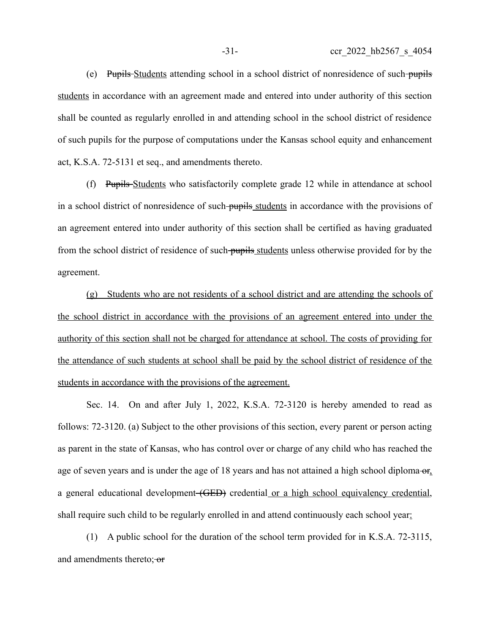(e) Pupils Students attending school in a school district of nonresidence of such pupils students in accordance with an agreement made and entered into under authority of this section shall be counted as regularly enrolled in and attending school in the school district of residence of such pupils for the purpose of computations under the Kansas school equity and enhancement act, K.S.A. 72-5131 et seq., and amendments thereto.

(f) Pupils Students who satisfactorily complete grade 12 while in attendance at school in a school district of nonresidence of such pupils students in accordance with the provisions of an agreement entered into under authority of this section shall be certified as having graduated from the school district of residence of such pupils students unless otherwise provided for by the agreement.

(g) Students who are not residents of a school district and are attending the schools of the school district in accordance with the provisions of an agreement entered into under the authority of this section shall not be charged for attendance at school. The costs of providing for the attendance of such students at school shall be paid by the school district of residence of the students in accordance with the provisions of the agreement.

Sec. 14. On and after July 1, 2022, K.S.A. 72-3120 is hereby amended to read as follows: 72-3120. (a) Subject to the other provisions of this section, every parent or person acting as parent in the state of Kansas, who has control over or charge of any child who has reached the age of seven years and is under the age of 18 years and has not attained a high school diploma- $\sigma_{f}$ , a general educational development (GED) credential or a high school equivalency credential, shall require such child to be regularly enrolled in and attend continuously each school year:

(1) A public school for the duration of the school term provided for in K.S.A. 72-3115, and amendments thereto; or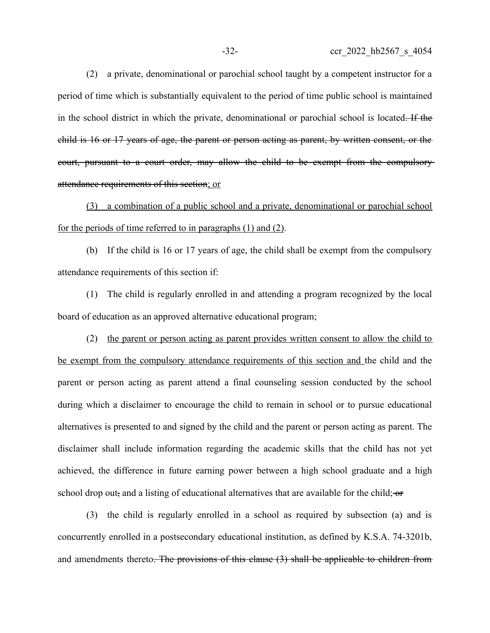(2) a private, denominational or parochial school taught by a competent instructor for a period of time which is substantially equivalent to the period of time public school is maintained in the school district in which the private, denominational or parochial school is located. If the child is 16 or 17 years of age, the parent or person acting as parent, by written consent, or the court, pursuant to a court order, may allow the child to be exempt from the compulsory attendance requirements of this section; or

(3) a combination of a public school and a private, denominational or parochial school for the periods of time referred to in paragraphs (1) and (2).

(b) If the child is 16 or 17 years of age, the child shall be exempt from the compulsory attendance requirements of this section if:

(1) The child is regularly enrolled in and attending a program recognized by the local board of education as an approved alternative educational program;

(2) the parent or person acting as parent provides written consent to allow the child to be exempt from the compulsory attendance requirements of this section and the child and the parent or person acting as parent attend a final counseling session conducted by the school during which a disclaimer to encourage the child to remain in school or to pursue educational alternatives is presented to and signed by the child and the parent or person acting as parent. The disclaimer shall include information regarding the academic skills that the child has not yet achieved, the difference in future earning power between a high school graduate and a high school drop out, and a listing of educational alternatives that are available for the child;  $\sigma$ 

(3) the child is regularly enrolled in a school as required by subsection (a) and is concurrently enrolled in a postsecondary educational institution, as defined by K.S.A. 74-3201b, and amendments thereto. The provisions of this clause (3) shall be applicable to children from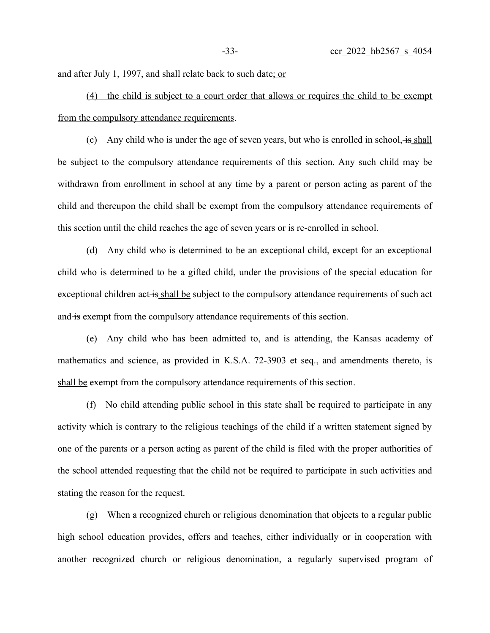and after July 1, 1997, and shall relate back to such date; or

(4) the child is subject to a court order that allows or requires the child to be exempt from the compulsory attendance requirements.

(c) Any child who is under the age of seven years, but who is enrolled in school,  $\frac{1}{18}$  shall be subject to the compulsory attendance requirements of this section. Any such child may be withdrawn from enrollment in school at any time by a parent or person acting as parent of the child and thereupon the child shall be exempt from the compulsory attendance requirements of this section until the child reaches the age of seven years or is re-enrolled in school.

(d) Any child who is determined to be an exceptional child, except for an exceptional child who is determined to be a gifted child, under the provisions of the special education for exceptional children act is shall be subject to the compulsory attendance requirements of such act and is exempt from the compulsory attendance requirements of this section.

(e) Any child who has been admitted to, and is attending, the Kansas academy of mathematics and science, as provided in K.S.A. 72-3903 et seq., and amendments thereto, is shall be exempt from the compulsory attendance requirements of this section.

(f) No child attending public school in this state shall be required to participate in any activity which is contrary to the religious teachings of the child if a written statement signed by one of the parents or a person acting as parent of the child is filed with the proper authorities of the school attended requesting that the child not be required to participate in such activities and stating the reason for the request.

(g) When a recognized church or religious denomination that objects to a regular public high school education provides, offers and teaches, either individually or in cooperation with another recognized church or religious denomination, a regularly supervised program of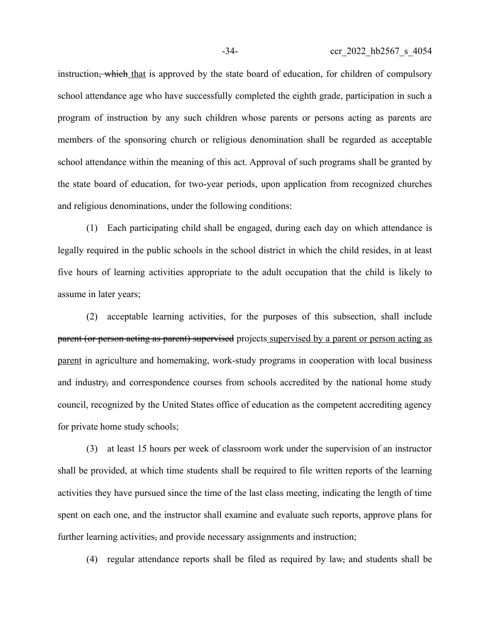instruction<del>, which</del> that is approved by the state board of education, for children of compulsory school attendance age who have successfully completed the eighth grade, participation in such a program of instruction by any such children whose parents or persons acting as parents are members of the sponsoring church or religious denomination shall be regarded as acceptable school attendance within the meaning of this act. Approval of such programs shall be granted by the state board of education, for two-year periods, upon application from recognized churches and religious denominations, under the following conditions:

(1) Each participating child shall be engaged, during each day on which attendance is legally required in the public schools in the school district in which the child resides, in at least five hours of learning activities appropriate to the adult occupation that the child is likely to assume in later years;

(2) acceptable learning activities, for the purposes of this subsection, shall include parent (or person acting as parent) supervised projects supervised by a parent or person acting as parent in agriculture and homemaking, work-study programs in cooperation with local business and industry, and correspondence courses from schools accredited by the national home study council, recognized by the United States office of education as the competent accrediting agency for private home study schools;

(3) at least 15 hours per week of classroom work under the supervision of an instructor shall be provided, at which time students shall be required to file written reports of the learning activities they have pursued since the time of the last class meeting, indicating the length of time spent on each one, and the instructor shall examine and evaluate such reports, approve plans for further learning activities, and provide necessary assignments and instruction;

(4) regular attendance reports shall be filed as required by law, and students shall be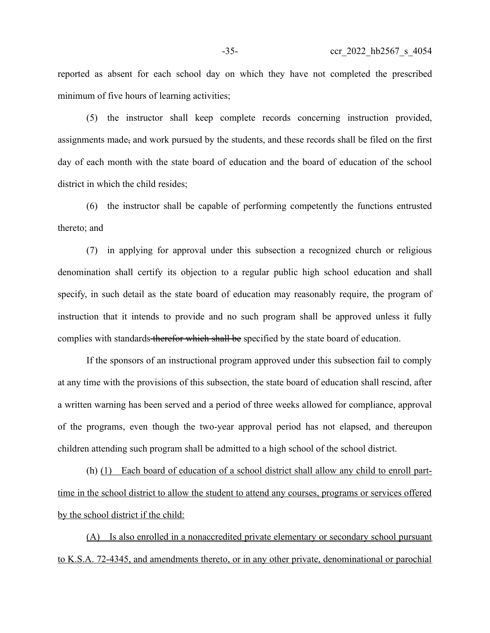reported as absent for each school day on which they have not completed the prescribed minimum of five hours of learning activities;

(5) the instructor shall keep complete records concerning instruction provided, assignments made, and work pursued by the students, and these records shall be filed on the first day of each month with the state board of education and the board of education of the school district in which the child resides;

(6) the instructor shall be capable of performing competently the functions entrusted thereto; and

(7) in applying for approval under this subsection a recognized church or religious denomination shall certify its objection to a regular public high school education and shall specify, in such detail as the state board of education may reasonably require, the program of instruction that it intends to provide and no such program shall be approved unless it fully complies with standards therefor which shall be specified by the state board of education.

If the sponsors of an instructional program approved under this subsection fail to comply at any time with the provisions of this subsection, the state board of education shall rescind, after a written warning has been served and a period of three weeks allowed for compliance, approval of the programs, even though the two-year approval period has not elapsed, and thereupon children attending such program shall be admitted to a high school of the school district.

(h) (1) Each board of education of a school district shall allow any child to enroll parttime in the school district to allow the student to attend any courses, programs or services offered by the school district if the child:

(A) Is also enrolled in a nonaccredited private elementary or secondary school pursuant to K.S.A. 72-4345, and amendments thereto, or in any other private, denominational or parochial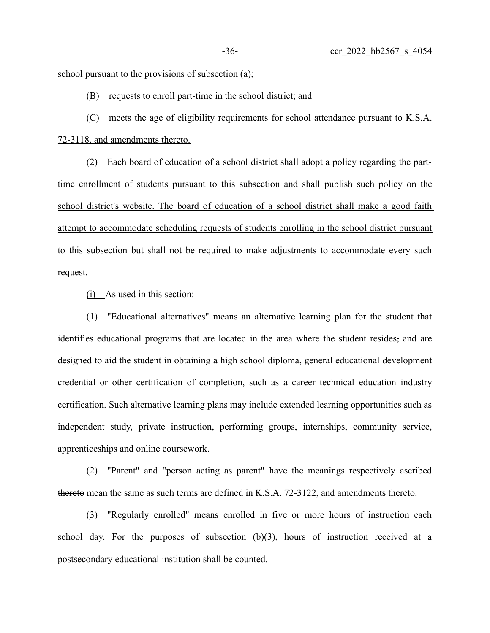school pursuant to the provisions of subsection (a);

(B) requests to enroll part-time in the school district; and

 (C) meets the age of eligibility requirements for school attendance pursuant to K.S.A. 72-3118, and amendments thereto.

(2) Each board of education of a school district shall adopt a policy regarding the parttime enrollment of students pursuant to this subsection and shall publish such policy on the school district's website. The board of education of a school district shall make a good faith attempt to accommodate scheduling requests of students enrolling in the school district pursuant to this subsection but shall not be required to make adjustments to accommodate every such request.

(i) As used in this section:

(1) "Educational alternatives" means an alternative learning plan for the student that identifies educational programs that are located in the area where the student resides, and are designed to aid the student in obtaining a high school diploma, general educational development credential or other certification of completion, such as a career technical education industry certification. Such alternative learning plans may include extended learning opportunities such as independent study, private instruction, performing groups, internships, community service, apprenticeships and online coursework.

(2) "Parent" and "person acting as parent" have the meanings respectively ascribed thereto mean the same as such terms are defined in K.S.A. 72-3122, and amendments thereto.

(3) "Regularly enrolled" means enrolled in five or more hours of instruction each school day. For the purposes of subsection (b)(3), hours of instruction received at a postsecondary educational institution shall be counted.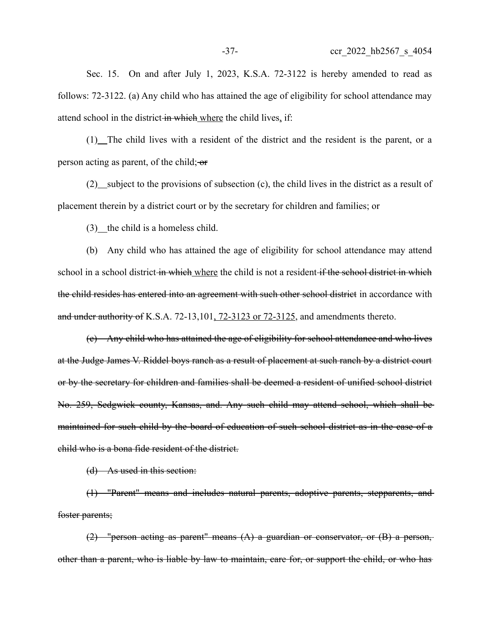Sec. 15. On and after July 1, 2023, K.S.A. 72-3122 is hereby amended to read as follows: 72-3122. (a) Any child who has attained the age of eligibility for school attendance may attend school in the district in which where the child lives, if:

(1) The child lives with a resident of the district and the resident is the parent, or a person acting as parent, of the child; or

 $(2)$  subject to the provisions of subsection  $(c)$ , the child lives in the district as a result of placement therein by a district court or by the secretary for children and families; or

 $(3)$  the child is a homeless child.

(b) Any child who has attained the age of eligibility for school attendance may attend school in a school district in which where the child is not a resident if the school district in which the child resides has entered into an agreement with such other school district in accordance with and under authority of K.S.A. 72-13,101, 72-3123 or 72-3125, and amendments thereto.

(c) Any child who has attained the age of eligibility for school attendance and who lives at the Judge James V. Riddel boys ranch as a result of placement at such ranch by a district court or by the secretary for children and families shall be deemed a resident of unified school district No. 259, Sedgwick county, Kansas, and. Any such child may attend school, which shall be maintained for such child by the board of education of such school district as in the case of a child who is a bona fide resident of the district.

(d) As used in this section:

(1) "Parent" means and includes natural parents, adoptive parents, stepparents, and foster parents;

(2) "person acting as parent" means (A) a guardian or conservator, or (B) a person, other than a parent, who is liable by law to maintain, care for, or support the child, or who has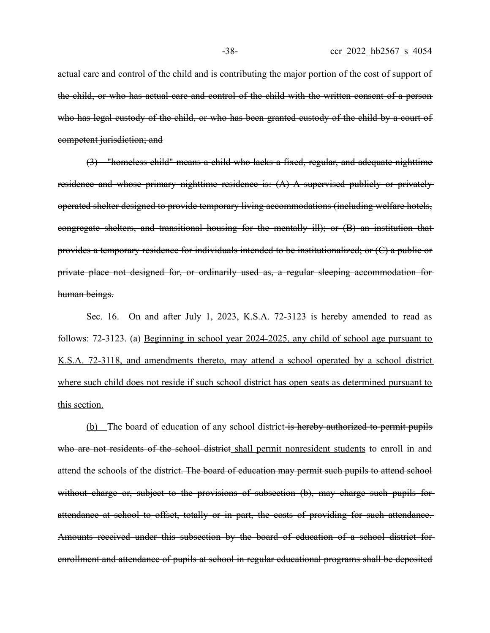actual care and control of the child and is contributing the major portion of the cost of support of the child, or who has actual care and control of the child with the written consent of a person who has legal custody of the child, or who has been granted custody of the child by a court of competent jurisdiction; and

(3) "homeless child" means a child who lacks a fixed, regular, and adequate nighttime residence and whose primary nighttime residence is: (A) A supervised publicly or privatelyoperated shelter designed to provide temporary living accommodations (including welfare hotels, congregate shelters, and transitional housing for the mentally ill); or (B) an institution that provides a temporary residence for individuals intended to be institutionalized; or (C) a public or private place not designed for, or ordinarily used as, a regular sleeping accommodation for human beings.

Sec. 16. On and after July 1, 2023, K.S.A. 72-3123 is hereby amended to read as follows: 72-3123. (a) Beginning in school year 2024-2025, any child of school age pursuant to K.S.A. 72-3118, and amendments thereto, may attend a school operated by a school district where such child does not reside if such school district has open seats as determined pursuant to this section.

(b) The board of education of any school district is hereby authorized to permit pupils who are not residents of the school district shall permit nonresident students to enroll in and attend the schools of the district. The board of education may permit such pupils to attend school without charge or, subject to the provisions of subsection (b), may charge such pupils forattendance at school to offset, totally or in part, the costs of providing for such attendance. Amounts received under this subsection by the board of education of a school district for enrollment and attendance of pupils at school in regular educational programs shall be deposited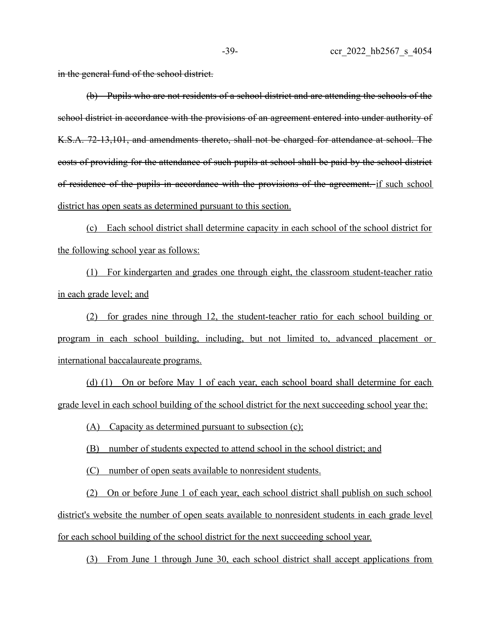in the general fund of the school district.

(b) Pupils who are not residents of a school district and are attending the schools of the school district in accordance with the provisions of an agreement entered into under authority of K.S.A. 72-13,101, and amendments thereto, shall not be charged for attendance at school. The costs of providing for the attendance of such pupils at school shall be paid by the school district of residence of the pupils in accordance with the provisions of the agreement. if such school district has open seats as determined pursuant to this section.

(c) Each school district shall determine capacity in each school of the school district for the following school year as follows:

(1) For kindergarten and grades one through eight, the classroom student-teacher ratio in each grade level; and

(2) for grades nine through 12, the student-teacher ratio for each school building or program in each school building, including, but not limited to, advanced placement or international baccalaureate programs.

(d) (1) On or before May 1 of each year, each school board shall determine for each grade level in each school building of the school district for the next succeeding school year the:

(A) Capacity as determined pursuant to subsection  $(c)$ ;

(B) number of students expected to attend school in the school district; and

(C) number of open seats available to nonresident students.

(2) On or before June 1 of each year, each school district shall publish on such school district's website the number of open seats available to nonresident students in each grade level for each school building of the school district for the next succeeding school year.

(3) From June 1 through June 30, each school district shall accept applications from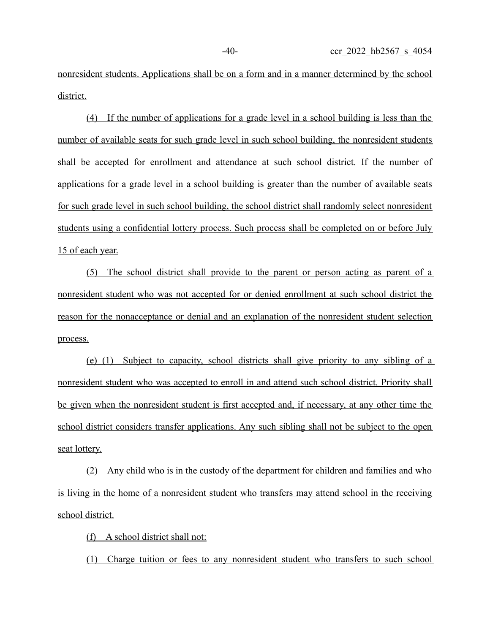nonresident students. Applications shall be on a form and in a manner determined by the school district.

(4) If the number of applications for a grade level in a school building is less than the number of available seats for such grade level in such school building, the nonresident students shall be accepted for enrollment and attendance at such school district. If the number of applications for a grade level in a school building is greater than the number of available seats for such grade level in such school building, the school district shall randomly select nonresident students using a confidential lottery process. Such process shall be completed on or before July 15 of each year.

 (5) The school district shall provide to the parent or person acting as parent of a nonresident student who was not accepted for or denied enrollment at such school district the reason for the nonacceptance or denial and an explanation of the nonresident student selection process.

(e) (1) Subject to capacity, school districts shall give priority to any sibling of a nonresident student who was accepted to enroll in and attend such school district. Priority shall be given when the nonresident student is first accepted and, if necessary, at any other time the school district considers transfer applications. Any such sibling shall not be subject to the open seat lottery.

(2) Any child who is in the custody of the department for children and families and who is living in the home of a nonresident student who transfers may attend school in the receiving school district.

(f) A school district shall not:

(1) Charge tuition or fees to any nonresident student who transfers to such school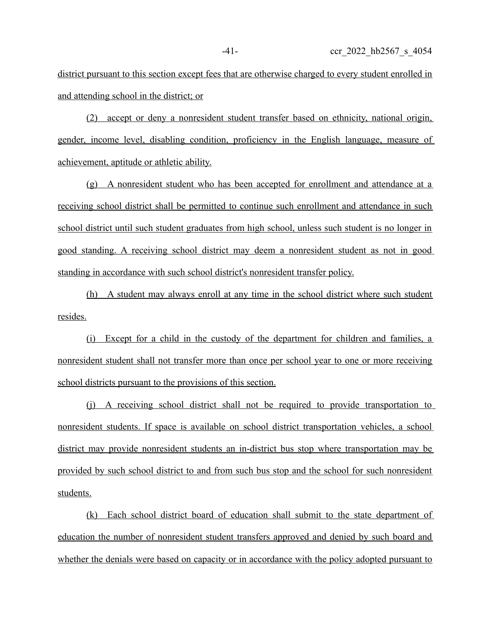district pursuant to this section except fees that are otherwise charged to every student enrolled in and attending school in the district; or

(2) accept or deny a nonresident student transfer based on ethnicity, national origin, gender, income level, disabling condition, proficiency in the English language, measure of achievement, aptitude or athletic ability.

(g) A nonresident student who has been accepted for enrollment and attendance at a receiving school district shall be permitted to continue such enrollment and attendance in such school district until such student graduates from high school, unless such student is no longer in good standing. A receiving school district may deem a nonresident student as not in good standing in accordance with such school district's nonresident transfer policy.

(h) A student may always enroll at any time in the school district where such student resides.

(i) Except for a child in the custody of the department for children and families, a nonresident student shall not transfer more than once per school year to one or more receiving school districts pursuant to the provisions of this section.

(j) A receiving school district shall not be required to provide transportation to nonresident students. If space is available on school district transportation vehicles, a school district may provide nonresident students an in-district bus stop where transportation may be provided by such school district to and from such bus stop and the school for such nonresident students.

(k) Each school district board of education shall submit to the state department of education the number of nonresident student transfers approved and denied by such board and whether the denials were based on capacity or in accordance with the policy adopted pursuant to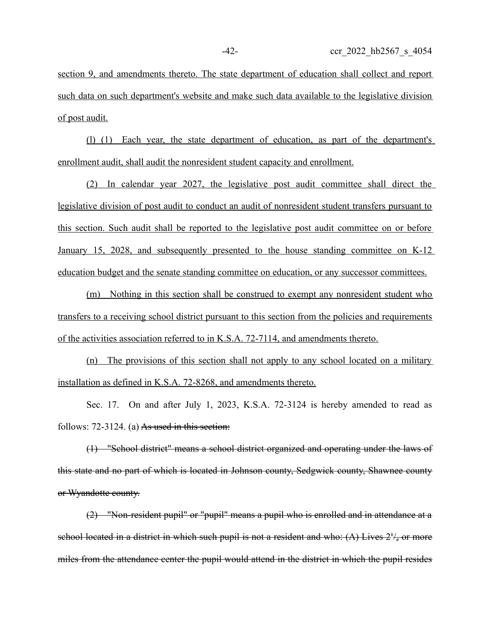section 9, and amendments thereto. The state department of education shall collect and report such data on such department's website and make such data available to the legislative division of post audit.

(l) (1) Each year, the state department of education, as part of the department's enrollment audit, shall audit the nonresident student capacity and enrollment.

(2) In calendar year 2027, the legislative post audit committee shall direct the legislative division of post audit to conduct an audit of nonresident student transfers pursuant to this section. Such audit shall be reported to the legislative post audit committee on or before January 15, 2028, and subsequently presented to the house standing committee on K-12 education budget and the senate standing committee on education, or any successor committees.

(m) Nothing in this section shall be construed to exempt any nonresident student who transfers to a receiving school district pursuant to this section from the policies and requirements of the activities association referred to in K.S.A. 72-7114, and amendments thereto.

 $(n)$  The provisions of this section shall not apply to any school located on a military installation as defined in K.S.A. 72-8268, and amendments thereto.

Sec. 17. On and after July 1, 2023, K.S.A. 72-3124 is hereby amended to read as follows:  $72-3124$ . (a) As used in this section:

(1) "School district" means a school district organized and operating under the laws of this state and no part of which is located in Johnson county, Sedgwick county, Shawnee county or Wyandotte county.

(2) "Non-resident pupil" or "pupil" means a pupil who is enrolled and in attendance at a school located in a district in which such pupil is not a resident and who:  $(A)$  Lives  $2^{t}/_{2}$  or more miles from the attendance center the pupil would attend in the district in which the pupil resides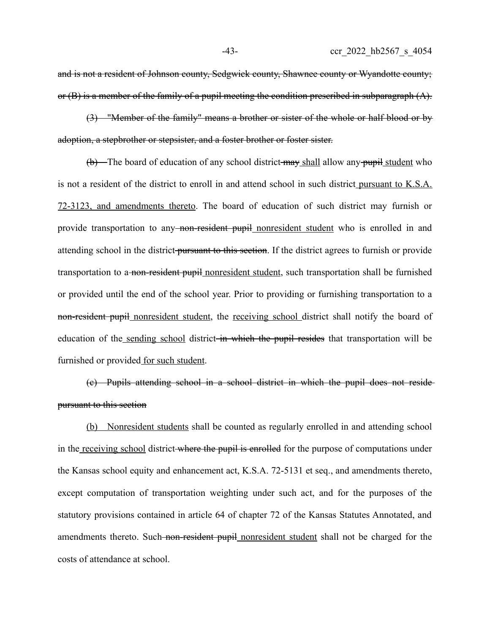and is not a resident of Johnson county, Sedgwick county, Shawnee county or Wyandotte county; or (B) is a member of the family of a pupil meeting the condition prescribed in subparagraph (A).

(3) "Member of the family" means a brother or sister of the whole or half blood or by adoption, a stepbrother or stepsister, and a foster brother or foster sister.

(b) The board of education of any school district may shall allow any pupil student who is not a resident of the district to enroll in and attend school in such district pursuant to K.S.A. 72-3123, and amendments thereto. The board of education of such district may furnish or provide transportation to any<del>-non-resident pupil</del> nonresident student who is enrolled in and attending school in the district pursuant to this section. If the district agrees to furnish or provide transportation to a non-resident pupil nonresident student, such transportation shall be furnished or provided until the end of the school year. Prior to providing or furnishing transportation to a non-resident pupil nonresident student, the receiving school district shall notify the board of education of the sending school district in which the pupil resides that transportation will be furnished or provided for such student.

(c) Pupils attending school in a school district in which the pupil does not reside pursuant to this section

(b) Nonresident students shall be counted as regularly enrolled in and attending school in the receiving school district where the pupil is enrolled for the purpose of computations under the Kansas school equity and enhancement act, K.S.A. 72-5131 et seq., and amendments thereto, except computation of transportation weighting under such act, and for the purposes of the statutory provisions contained in article 64 of chapter 72 of the Kansas Statutes Annotated, and amendments thereto. Such non-resident pupil nonresident student shall not be charged for the costs of attendance at school.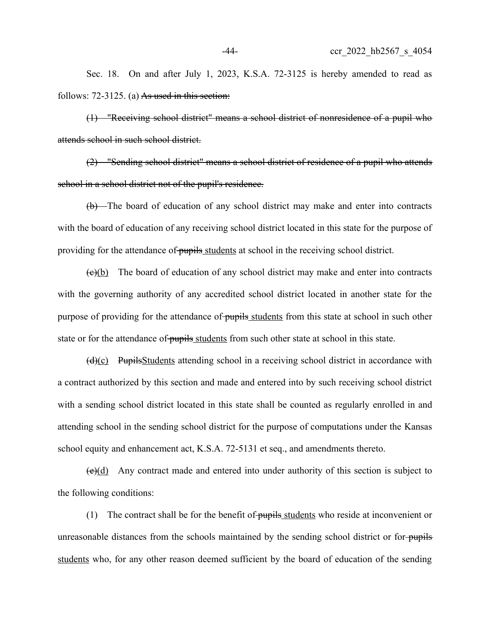Sec. 18. On and after July 1, 2023, K.S.A. 72-3125 is hereby amended to read as follows:  $72-3125$ . (a) As used in this section:

(1) "Receiving school district" means a school district of nonresidence of a pupil who attends school in such school district.

(2) "Sending school district" means a school district of residence of a pupil who attends school in a school district not of the pupil's residence.

(b) The board of education of any school district may make and enter into contracts with the board of education of any receiving school district located in this state for the purpose of providing for the attendance of pupils students at school in the receiving school district.

 $(e)(b)$  The board of education of any school district may make and enter into contracts with the governing authority of any accredited school district located in another state for the purpose of providing for the attendance of pupils students from this state at school in such other state or for the attendance of pupils students from such other state at school in this state.

 $(d)(c)$  PupilsStudents attending school in a receiving school district in accordance with a contract authorized by this section and made and entered into by such receiving school district with a sending school district located in this state shall be counted as regularly enrolled in and attending school in the sending school district for the purpose of computations under the Kansas school equity and enhancement act, K.S.A. 72-5131 et seq., and amendments thereto.

 $(e)(d)$  Any contract made and entered into under authority of this section is subject to the following conditions:

(1) The contract shall be for the benefit of pupils students who reside at inconvenient or unreasonable distances from the schools maintained by the sending school district or forstudents who, for any other reason deemed sufficient by the board of education of the sending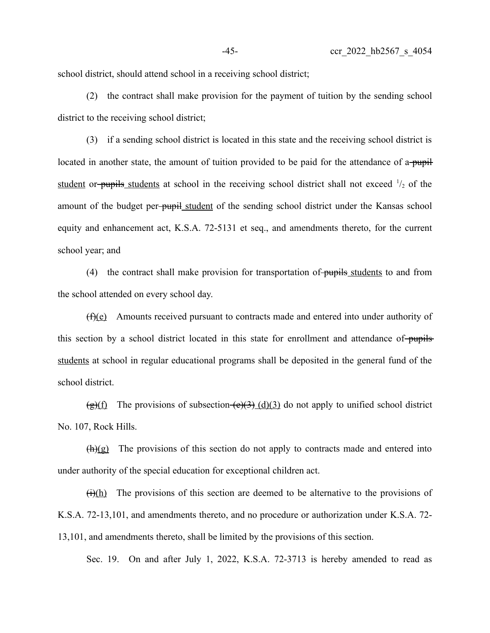school district, should attend school in a receiving school district;

(2) the contract shall make provision for the payment of tuition by the sending school district to the receiving school district;

(3) if a sending school district is located in this state and the receiving school district is located in another state, the amount of tuition provided to be paid for the attendance of a pupil student or-pupils students at school in the receiving school district shall not exceed  $\frac{1}{2}$  of the amount of the budget per-pupil student of the sending school district under the Kansas school equity and enhancement act, K.S.A. 72-5131 et seq., and amendments thereto, for the current school year; and

(4) the contract shall make provision for transportation of pupils students to and from the school attended on every school day.

(f)(e) Amounts received pursuant to contracts made and entered into under authority of this section by a school district located in this state for enrollment and attendance of-pupilsstudents at school in regular educational programs shall be deposited in the general fund of the school district.

 $\frac{\pi}{2}(f)$  The provisions of subsection  $\frac{\pi}{2}(d)(3)$  do not apply to unified school district No. 107, Rock Hills.

 $(h)(g)$  The provisions of this section do not apply to contracts made and entered into under authority of the special education for exceptional children act.

 $(H)(h)$  The provisions of this section are deemed to be alternative to the provisions of K.S.A. 72-13,101, and amendments thereto, and no procedure or authorization under K.S.A. 72- 13,101, and amendments thereto, shall be limited by the provisions of this section.

Sec. 19. On and after July 1, 2022, K.S.A. 72-3713 is hereby amended to read as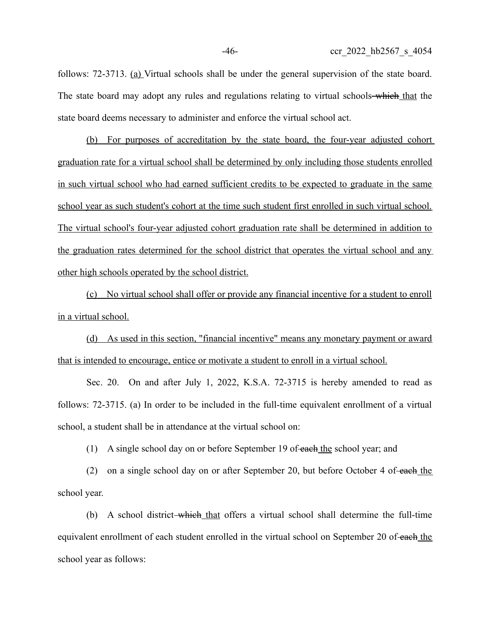follows: 72-3713. (a) Virtual schools shall be under the general supervision of the state board. The state board may adopt any rules and regulations relating to virtual schools—which that the state board deems necessary to administer and enforce the virtual school act.

(b) For purposes of accreditation by the state board, the four-year adjusted cohort graduation rate for a virtual school shall be determined by only including those students enrolled in such virtual school who had earned sufficient credits to be expected to graduate in the same school year as such student's cohort at the time such student first enrolled in such virtual school. The virtual school's four-year adjusted cohort graduation rate shall be determined in addition to the graduation rates determined for the school district that operates the virtual school and any other high schools operated by the school district.

(c) No virtual school shall offer or provide any financial incentive for a student to enroll in a virtual school.

(d) As used in this section, "financial incentive" means any monetary payment or award that is intended to encourage, entice or motivate a student to enroll in a virtual school.

Sec. 20. On and after July 1, 2022, K.S.A. 72-3715 is hereby amended to read as follows: 72-3715. (a) In order to be included in the full-time equivalent enrollment of a virtual school, a student shall be in attendance at the virtual school on:

(1) A single school day on or before September 19 of each the school year; and

(2) on a single school day on or after September 20, but before October 4 of each the school year.

(b) A school district which that offers a virtual school shall determine the full-time equivalent enrollment of each student enrolled in the virtual school on September 20 of each the school year as follows: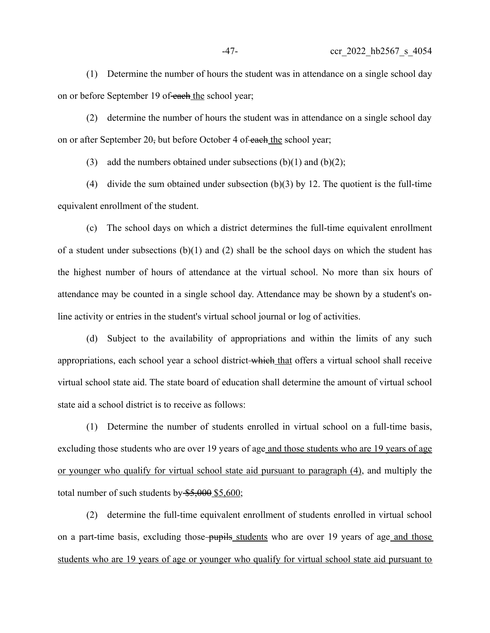(1) Determine the number of hours the student was in attendance on a single school day on or before September 19 of each the school year;

(2) determine the number of hours the student was in attendance on a single school day on or after September 20, but before October 4 of each the school year;

(3) add the numbers obtained under subsections  $(b)(1)$  and  $(b)(2)$ ;

(4) divide the sum obtained under subsection (b)(3) by 12. The quotient is the full-time equivalent enrollment of the student.

(c) The school days on which a district determines the full-time equivalent enrollment of a student under subsections  $(b)(1)$  and  $(2)$  shall be the school days on which the student has the highest number of hours of attendance at the virtual school. No more than six hours of attendance may be counted in a single school day. Attendance may be shown by a student's online activity or entries in the student's virtual school journal or log of activities.

(d) Subject to the availability of appropriations and within the limits of any such appropriations, each school year a school district-which that offers a virtual school shall receive virtual school state aid. The state board of education shall determine the amount of virtual school state aid a school district is to receive as follows:

(1) Determine the number of students enrolled in virtual school on a full-time basis, excluding those students who are over 19 years of age and those students who are 19 years of age or younger who qualify for virtual school state aid pursuant to paragraph (4), and multiply the total number of such students by  $$5,000$  \$5,600;

(2) determine the full-time equivalent enrollment of students enrolled in virtual school on a part-time basis, excluding those pupils students who are over 19 years of age and those students who are 19 years of age or younger who qualify for virtual school state aid pursuant to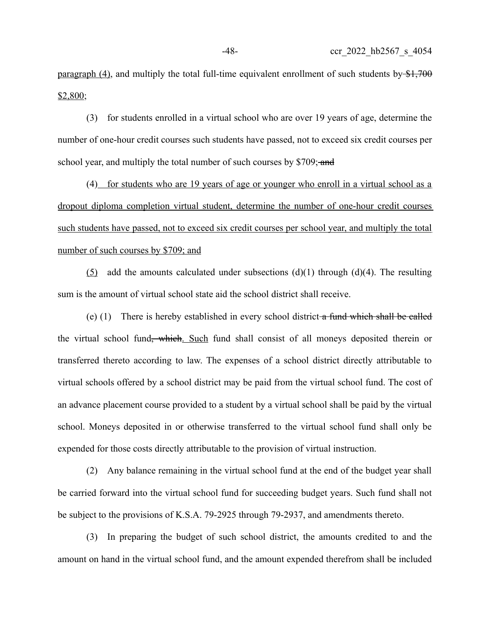paragraph (4), and multiply the total full-time equivalent enrollment of such students by  $\frac{1700}{1700}$  $$2,800;$ 

(3) for students enrolled in a virtual school who are over 19 years of age, determine the number of one-hour credit courses such students have passed, not to exceed six credit courses per school year, and multiply the total number of such courses by \$709; and

(4) for students who are 19 years of age or younger who enroll in a virtual school as a dropout diploma completion virtual student, determine the number of one-hour credit courses such students have passed, not to exceed six credit courses per school year, and multiply the total number of such courses by \$709; and

(5) add the amounts calculated under subsections  $(d)(1)$  through  $(d)(4)$ . The resulting sum is the amount of virtual school state aid the school district shall receive.

(e) (1) There is hereby established in every school district a fund which shall be called the virtual school fund<del>, which</del>. Such fund shall consist of all moneys deposited therein or transferred thereto according to law. The expenses of a school district directly attributable to virtual schools offered by a school district may be paid from the virtual school fund. The cost of an advance placement course provided to a student by a virtual school shall be paid by the virtual school. Moneys deposited in or otherwise transferred to the virtual school fund shall only be expended for those costs directly attributable to the provision of virtual instruction.

(2) Any balance remaining in the virtual school fund at the end of the budget year shall be carried forward into the virtual school fund for succeeding budget years. Such fund shall not be subject to the provisions of K.S.A. 79-2925 through 79-2937, and amendments thereto.

(3) In preparing the budget of such school district, the amounts credited to and the amount on hand in the virtual school fund, and the amount expended therefrom shall be included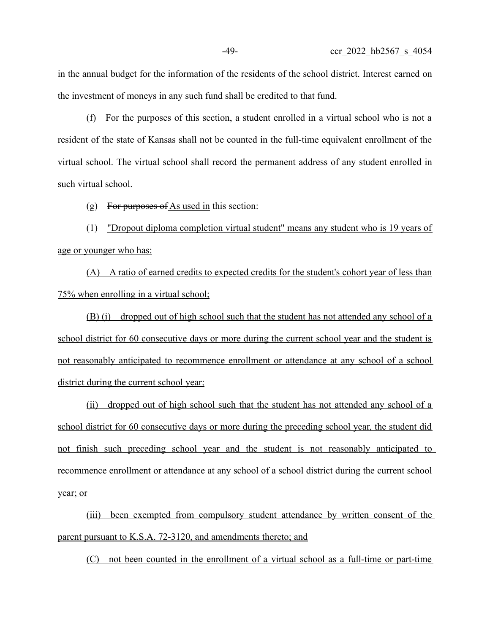in the annual budget for the information of the residents of the school district. Interest earned on the investment of moneys in any such fund shall be credited to that fund.

(f) For the purposes of this section, a student enrolled in a virtual school who is not a resident of the state of Kansas shall not be counted in the full-time equivalent enrollment of the virtual school. The virtual school shall record the permanent address of any student enrolled in such virtual school.

(g) For purposes of  $\Delta s$  used in this section:

(1) "Dropout diploma completion virtual student" means any student who is 19 years of age or younger who has:

(A) A ratio of earned credits to expected credits for the student's cohort year of less than 75% when enrolling in a virtual school;

(B) (i) dropped out of high school such that the student has not attended any school of a school district for 60 consecutive days or more during the current school year and the student is not reasonably anticipated to recommence enrollment or attendance at any school of a school district during the current school year;

(ii) dropped out of high school such that the student has not attended any school of a school district for 60 consecutive days or more during the preceding school year, the student did not finish such preceding school year and the student is not reasonably anticipated to recommence enrollment or attendance at any school of a school district during the current school year; or

(iii) been exempted from compulsory student attendance by written consent of the parent pursuant to K.S.A. 72-3120, and amendments thereto; and

(C) not been counted in the enrollment of a virtual school as a full-time or part-time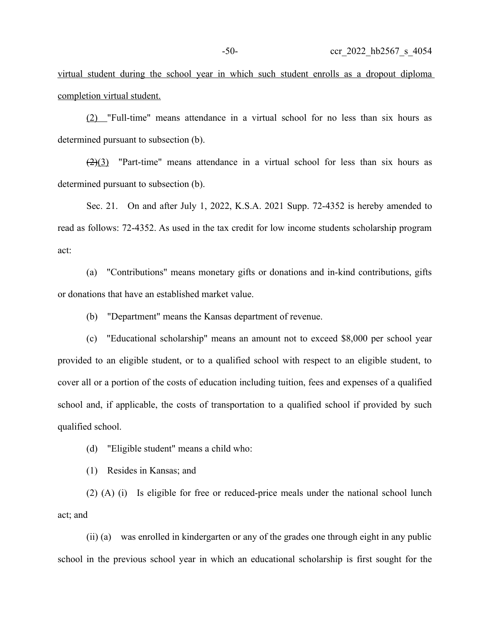virtual student during the school year in which such student enrolls as a dropout diploma completion virtual student.

(2) "Full-time" means attendance in a virtual school for no less than six hours as determined pursuant to subsection (b).

 $\left(\frac{2}{3}\right)$  "Part-time" means attendance in a virtual school for less than six hours as determined pursuant to subsection (b).

Sec. 21. On and after July 1, 2022, K.S.A. 2021 Supp. 72-4352 is hereby amended to read as follows: 72-4352. As used in the tax credit for low income students scholarship program act:

(a) "Contributions" means monetary gifts or donations and in-kind contributions, gifts or donations that have an established market value.

(b) "Department" means the Kansas department of revenue.

(c) "Educational scholarship" means an amount not to exceed \$8,000 per school year provided to an eligible student, or to a qualified school with respect to an eligible student, to cover all or a portion of the costs of education including tuition, fees and expenses of a qualified school and, if applicable, the costs of transportation to a qualified school if provided by such qualified school.

(d) "Eligible student" means a child who:

(1) Resides in Kansas; and

(2) (A) (i) Is eligible for free or reduced-price meals under the national school lunch act; and

(ii) (a) was enrolled in kindergarten or any of the grades one through eight in any public school in the previous school year in which an educational scholarship is first sought for the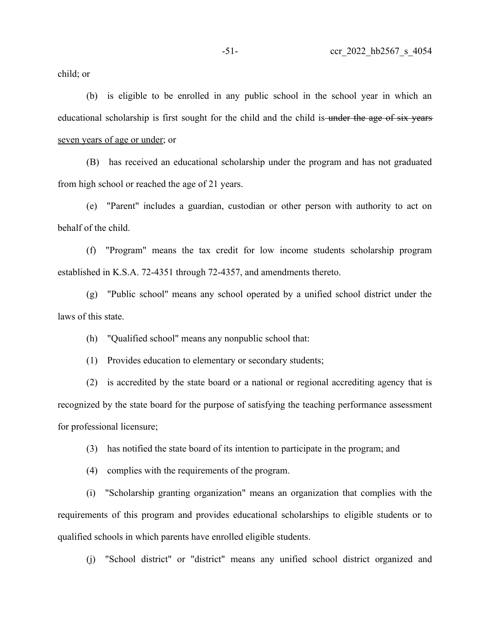child; or

(b) is eligible to be enrolled in any public school in the school year in which an educational scholarship is first sought for the child and the child is under the age of six years seven years of age or under; or

(B) has received an educational scholarship under the program and has not graduated from high school or reached the age of 21 years.

(e) "Parent" includes a guardian, custodian or other person with authority to act on behalf of the child.

(f) "Program" means the tax credit for low income students scholarship program established in K.S.A. 72-4351 through 72-4357, and amendments thereto.

(g) "Public school" means any school operated by a unified school district under the laws of this state.

(h) "Qualified school" means any nonpublic school that:

(1) Provides education to elementary or secondary students;

(2) is accredited by the state board or a national or regional accrediting agency that is recognized by the state board for the purpose of satisfying the teaching performance assessment for professional licensure;

(3) has notified the state board of its intention to participate in the program; and

(4) complies with the requirements of the program.

(i) "Scholarship granting organization" means an organization that complies with the requirements of this program and provides educational scholarships to eligible students or to qualified schools in which parents have enrolled eligible students.

(j) "School district" or "district" means any unified school district organized and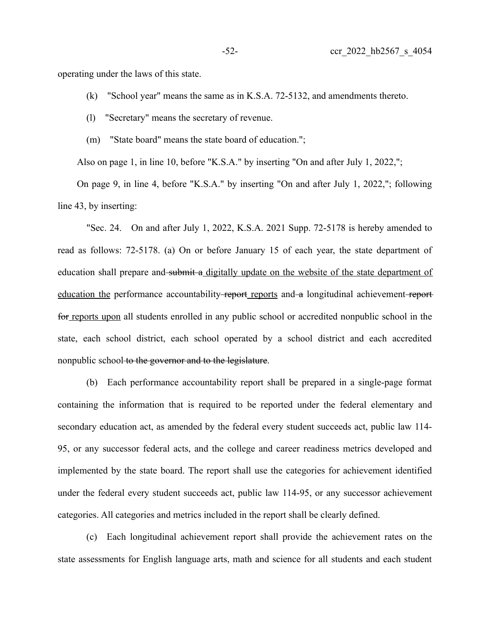operating under the laws of this state.

- (k) "School year" means the same as in K.S.A. 72-5132, and amendments thereto.
- (l) "Secretary" means the secretary of revenue.
- (m) "State board" means the state board of education.";

Also on page 1, in line 10, before "K.S.A." by inserting "On and after July 1, 2022,";

On page 9, in line 4, before "K.S.A." by inserting "On and after July 1, 2022,"; following line 43, by inserting:

"Sec. 24. On and after July 1, 2022, K.S.A. 2021 Supp. 72-5178 is hereby amended to read as follows: 72-5178. (a) On or before January 15 of each year, the state department of education shall prepare and submit a digitally update on the website of the state department of education the performance accountability-report reports and a longitudinal achievement-reportfor reports upon all students enrolled in any public school or accredited nonpublic school in the state, each school district, each school operated by a school district and each accredited nonpublic school to the governor and to the legislature.

(b) Each performance accountability report shall be prepared in a single-page format containing the information that is required to be reported under the federal elementary and secondary education act, as amended by the federal every student succeeds act, public law 114- 95, or any successor federal acts, and the college and career readiness metrics developed and implemented by the state board. The report shall use the categories for achievement identified under the federal every student succeeds act, public law 114-95, or any successor achievement categories. All categories and metrics included in the report shall be clearly defined.

(c) Each longitudinal achievement report shall provide the achievement rates on the state assessments for English language arts, math and science for all students and each student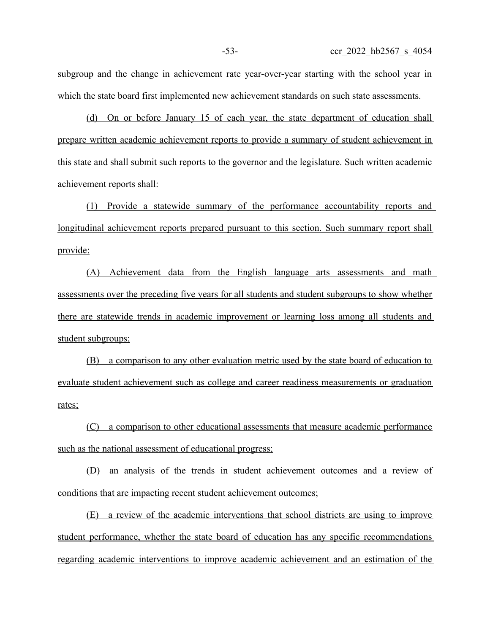subgroup and the change in achievement rate year-over-year starting with the school year in which the state board first implemented new achievement standards on such state assessments.

(d) On or before January 15 of each year, the state department of education shall prepare written academic achievement reports to provide a summary of student achievement in this state and shall submit such reports to the governor and the legislature. Such written academic achievement reports shall:

(1) Provide a statewide summary of the performance accountability reports and longitudinal achievement reports prepared pursuant to this section. Such summary report shall provide:

(A) Achievement data from the English language arts assessments and math assessments over the preceding five years for all students and student subgroups to show whether there are statewide trends in academic improvement or learning loss among all students and student subgroups;

(B) a comparison to any other evaluation metric used by the state board of education to evaluate student achievement such as college and career readiness measurements or graduation rates;

(C) a comparison to other educational assessments that measure academic performance such as the national assessment of educational progress;

(D) an analysis of the trends in student achievement outcomes and a review of conditions that are impacting recent student achievement outcomes;

 (E) a review of the academic interventions that school districts are using to improve student performance, whether the state board of education has any specific recommendations regarding academic interventions to improve academic achievement and an estimation of the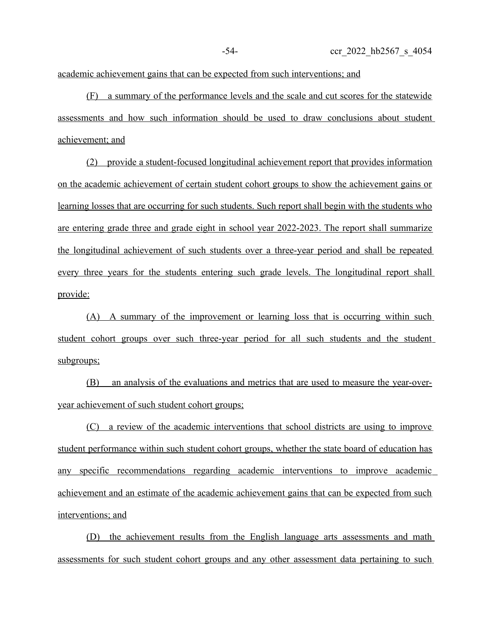academic achievement gains that can be expected from such interventions; and

(F) a summary of the performance levels and the scale and cut scores for the statewide assessments and how such information should be used to draw conclusions about student achievement; and

(2) provide a student-focused longitudinal achievement report that provides information on the academic achievement of certain student cohort groups to show the achievement gains or learning losses that are occurring for such students. Such report shall begin with the students who are entering grade three and grade eight in school year 2022-2023. The report shall summarize the longitudinal achievement of such students over a three-year period and shall be repeated every three years for the students entering such grade levels. The longitudinal report shall provide:

(A) A summary of the improvement or learning loss that is occurring within such student cohort groups over such three-year period for all such students and the student subgroups;

(B) an analysis of the evaluations and metrics that are used to measure the year-overyear achievement of such student cohort groups;

(C) a review of the academic interventions that school districts are using to improve student performance within such student cohort groups, whether the state board of education has any specific recommendations regarding academic interventions to improve academic achievement and an estimate of the academic achievement gains that can be expected from such interventions; and

(D) the achievement results from the English language arts assessments and math assessments for such student cohort groups and any other assessment data pertaining to such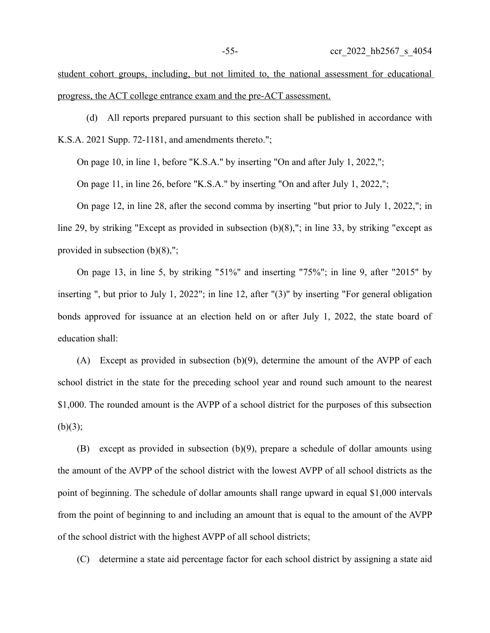student cohort groups, including, but not limited to, the national assessment for educational progress, the ACT college entrance exam and the pre-ACT assessment.

(d) All reports prepared pursuant to this section shall be published in accordance with K.S.A. 2021 Supp. 72-1181, and amendments thereto.";

On page 10, in line 1, before "K.S.A." by inserting "On and after July 1, 2022,";

On page 11, in line 26, before "K.S.A." by inserting "On and after July 1, 2022,";

On page 12, in line 28, after the second comma by inserting "but prior to July 1, 2022,"; in line 29, by striking "Except as provided in subsection (b)(8),"; in line 33, by striking "except as provided in subsection (b)(8),";

On page 13, in line 5, by striking "51%" and inserting "75%"; in line 9, after "2015" by inserting ", but prior to July 1, 2022"; in line 12, after "(3)" by inserting "For general obligation bonds approved for issuance at an election held on or after July 1, 2022, the state board of education shall:

(A) Except as provided in subsection (b)(9), determine the amount of the AVPP of each school district in the state for the preceding school year and round such amount to the nearest \$1,000. The rounded amount is the AVPP of a school district for the purposes of this subsection  $(b)(3);$ 

(B) except as provided in subsection (b)(9), prepare a schedule of dollar amounts using the amount of the AVPP of the school district with the lowest AVPP of all school districts as the point of beginning. The schedule of dollar amounts shall range upward in equal \$1,000 intervals from the point of beginning to and including an amount that is equal to the amount of the AVPP of the school district with the highest AVPP of all school districts;

(C) determine a state aid percentage factor for each school district by assigning a state aid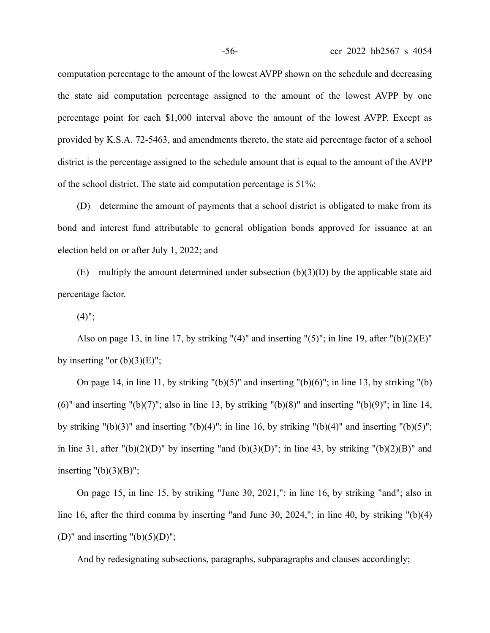computation percentage to the amount of the lowest AVPP shown on the schedule and decreasing the state aid computation percentage assigned to the amount of the lowest AVPP by one percentage point for each \$1,000 interval above the amount of the lowest AVPP. Except as provided by K.S.A. 72-5463, and amendments thereto, the state aid percentage factor of a school district is the percentage assigned to the schedule amount that is equal to the amount of the AVPP of the school district. The state aid computation percentage is 51%;

(D) determine the amount of payments that a school district is obligated to make from its bond and interest fund attributable to general obligation bonds approved for issuance at an election held on or after July 1, 2022; and

(E) multiply the amount determined under subsection  $(b)(3)(D)$  by the applicable state aid percentage factor.

 $(4)$ ";

Also on page 13, in line 17, by striking " $(4)$ " and inserting " $(5)$ "; in line 19, after " $(b)(2)(E)$ " by inserting "or  $(b)(3)(E)$ ";

On page 14, in line 11, by striking  $"({\rm b})(5)"$  and inserting  $"({\rm b})(6)"$ ; in line 13, by striking  $"({\rm b})$ (6)" and inserting "(b)(7)"; also in line 13, by striking "(b)(8)" and inserting "(b)(9)"; in line 14, by striking "(b)(3)" and inserting "(b)(4)"; in line 16, by striking "(b)(4)" and inserting "(b)(5)"; in line 31, after " $(b)(2)(D)$ " by inserting "and  $(b)(3)(D)$ "; in line 43, by striking " $(b)(2)(B)$ " and inserting  $"(b)(3)(B)"$ ;

On page 15, in line 15, by striking "June 30, 2021,"; in line 16, by striking "and"; also in line 16, after the third comma by inserting "and June 30, 2024,"; in line 40, by striking "(b)(4) (D)" and inserting  $"(b)(5)(D)"$ ;

And by redesignating subsections, paragraphs, subparagraphs and clauses accordingly;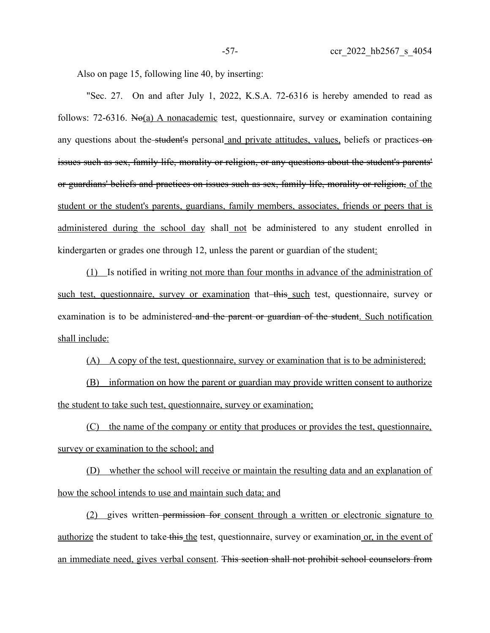Also on page 15, following line 40, by inserting:

"Sec. 27. On and after July 1, 2022, K.S.A. 72-6316 is hereby amended to read as follows: 72-6316. No(a) A nonacademic test, questionnaire, survey or examination containing any questions about the student's personal and private attitudes, values, beliefs or practices on issues such as sex, family life, morality or religion, or any questions about the student's parents' or guardians' beliefs and practices on issues such as sex, family life, morality or religion, of the student or the student's parents, guardians, family members, associates, friends or peers that is administered during the school day shall not be administered to any student enrolled in kindergarten or grades one through 12, unless the parent or guardian of the student:

(1) Is notified in writing not more than four months in advance of the administration of such test, questionnaire, survey or examination that this such test, questionnaire, survey or examination is to be administered and the parent or guardian of the student. Such notification shall include:

(A) A copy of the test, questionnaire, survey or examination that is to be administered;

(B) information on how the parent or guardian may provide written consent to authorize the student to take such test, questionnaire, survey or examination;

(C) the name of the company or entity that produces or provides the test, questionnaire, survey or examination to the school; and

(D) whether the school will receive or maintain the resulting data and an explanation of how the school intends to use and maintain such data; and

(2) gives written permission for consent through a written or electronic signature to authorize the student to take this the test, questionnaire, survey or examination or, in the event of an immediate need, gives verbal consent. This section shall not prohibit school counselors from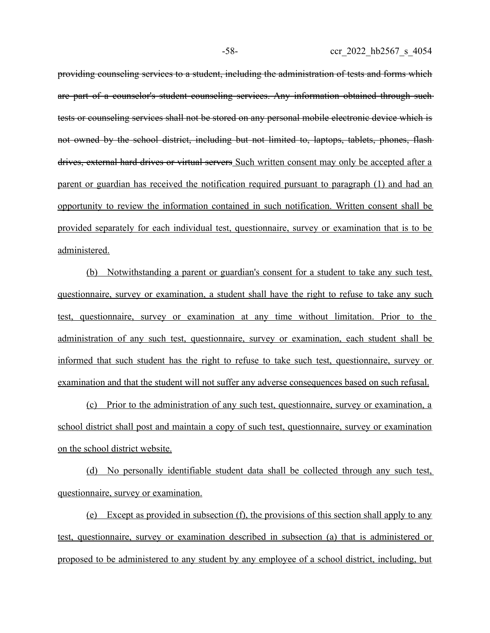providing counseling services to a student, including the administration of tests and forms which are part of a counselor's student counseling services. Any information obtained through such tests or counseling services shall not be stored on any personal mobile electronic device which is not owned by the school district, including but not limited to, laptops, tablets, phones, flash drives, external hard drives or virtual servers Such written consent may only be accepted after a parent or guardian has received the notification required pursuant to paragraph (1) and had an opportunity to review the information contained in such notification. Written consent shall be provided separately for each individual test, questionnaire, survey or examination that is to be administered.

(b) Notwithstanding a parent or guardian's consent for a student to take any such test, questionnaire, survey or examination, a student shall have the right to refuse to take any such test, questionnaire, survey or examination at any time without limitation. Prior to the administration of any such test, questionnaire, survey or examination, each student shall be informed that such student has the right to refuse to take such test, questionnaire, survey or examination and that the student will not suffer any adverse consequences based on such refusal.

(c) Prior to the administration of any such test, questionnaire, survey or examination, a school district shall post and maintain a copy of such test, questionnaire, survey or examination on the school district website.

(d) No personally identifiable student data shall be collected through any such test, questionnaire, survey or examination.

 (e) Except as provided in subsection (f), the provisions of this section shall apply to any test, questionnaire, survey or examination described in subsection (a) that is administered or proposed to be administered to any student by any employee of a school district, including, but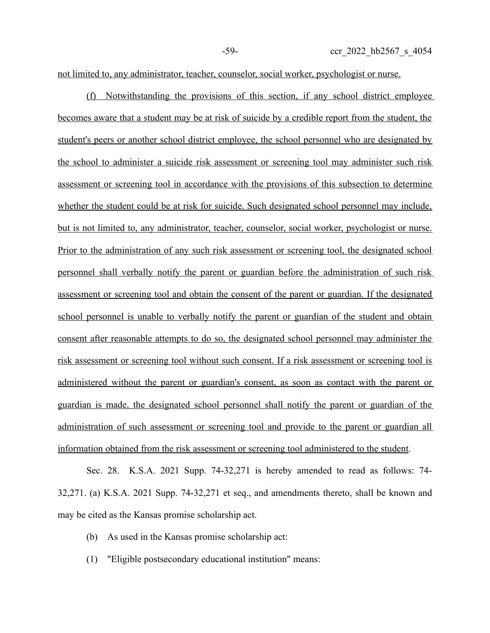not limited to, any administrator, teacher, counselor, social worker, psychologist or nurse.

(f) Notwithstanding the provisions of this section, if any school district employee becomes aware that a student may be at risk of suicide by a credible report from the student, the student's peers or another school district employee, the school personnel who are designated by the school to administer a suicide risk assessment or screening tool may administer such risk assessment or screening tool in accordance with the provisions of this subsection to determine whether the student could be at risk for suicide. Such designated school personnel may include, but is not limited to, any administrator, teacher, counselor, social worker, psychologist or nurse. Prior to the administration of any such risk assessment or screening tool, the designated school personnel shall verbally notify the parent or guardian before the administration of such risk assessment or screening tool and obtain the consent of the parent or guardian. If the designated school personnel is unable to verbally notify the parent or guardian of the student and obtain consent after reasonable attempts to do so, the designated school personnel may administer the risk assessment or screening tool without such consent. If a risk assessment or screening tool is administered without the parent or guardian's consent, as soon as contact with the parent or guardian is made, the designated school personnel shall notify the parent or guardian of the administration of such assessment or screening tool and provide to the parent or guardian all information obtained from the risk assessment or screening tool administered to the student.

Sec. 28. K.S.A. 2021 Supp. 74-32,271 is hereby amended to read as follows: 74- 32,271. (a) K.S.A. 2021 Supp. 74-32,271 et seq., and amendments thereto, shall be known and may be cited as the Kansas promise scholarship act.

- (b) As used in the Kansas promise scholarship act:
- (1) "Eligible postsecondary educational institution" means: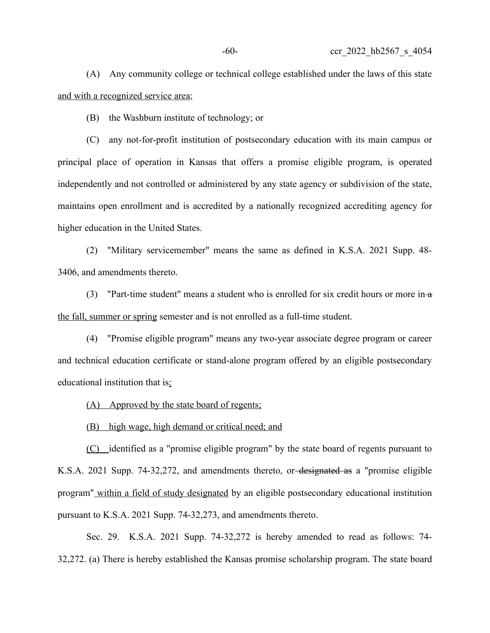(A) Any community college or technical college established under the laws of this state and with a recognized service area;

(B) the Washburn institute of technology; or

(C) any not-for-profit institution of postsecondary education with its main campus or principal place of operation in Kansas that offers a promise eligible program, is operated independently and not controlled or administered by any state agency or subdivision of the state, maintains open enrollment and is accredited by a nationally recognized accrediting agency for higher education in the United States.

(2) "Military servicemember" means the same as defined in K.S.A. 2021 Supp. 48- 3406, and amendments thereto.

(3) "Part-time student" means a student who is enrolled for six credit hours or more in- $a$ the fall, summer or spring semester and is not enrolled as a full-time student.

(4) "Promise eligible program" means any two-year associate degree program or career and technical education certificate or stand-alone program offered by an eligible postsecondary educational institution that is:

(A) Approved by the state board of regents;

(B) high wage, high demand or critical need; and

(C) identified as a "promise eligible program" by the state board of regents pursuant to K.S.A. 2021 Supp. 74-32,272, and amendments thereto, or designated as a "promise eligible program" within a field of study designated by an eligible postsecondary educational institution pursuant to K.S.A. 2021 Supp. 74-32,273, and amendments thereto.

Sec. 29. K.S.A. 2021 Supp. 74-32,272 is hereby amended to read as follows: 74- 32,272. (a) There is hereby established the Kansas promise scholarship program. The state board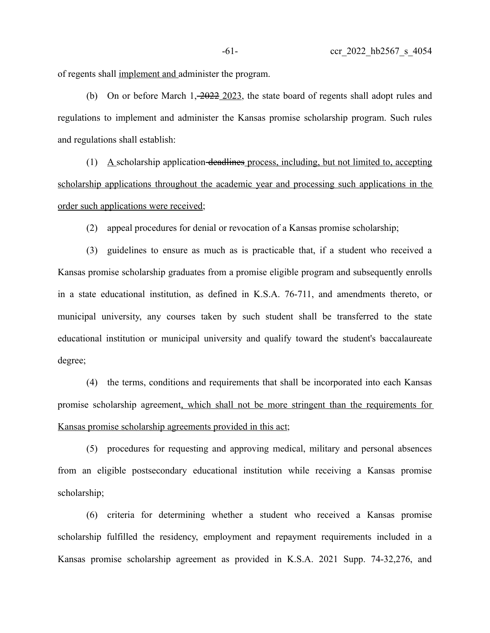of regents shall implement and administer the program.

(b) On or before March  $1, \frac{2022}{2023}$ , the state board of regents shall adopt rules and regulations to implement and administer the Kansas promise scholarship program. Such rules and regulations shall establish:

(1) A scholarship application deadlines process, including, but not limited to, accepting scholarship applications throughout the academic year and processing such applications in the order such applications were received;

(2) appeal procedures for denial or revocation of a Kansas promise scholarship;

(3) guidelines to ensure as much as is practicable that, if a student who received a Kansas promise scholarship graduates from a promise eligible program and subsequently enrolls in a state educational institution, as defined in K.S.A. 76-711, and amendments thereto, or municipal university, any courses taken by such student shall be transferred to the state educational institution or municipal university and qualify toward the student's baccalaureate degree;

(4) the terms, conditions and requirements that shall be incorporated into each Kansas promise scholarship agreement, which shall not be more stringent than the requirements for Kansas promise scholarship agreements provided in this act;

(5) procedures for requesting and approving medical, military and personal absences from an eligible postsecondary educational institution while receiving a Kansas promise scholarship;

(6) criteria for determining whether a student who received a Kansas promise scholarship fulfilled the residency, employment and repayment requirements included in a Kansas promise scholarship agreement as provided in K.S.A. 2021 Supp. 74-32,276, and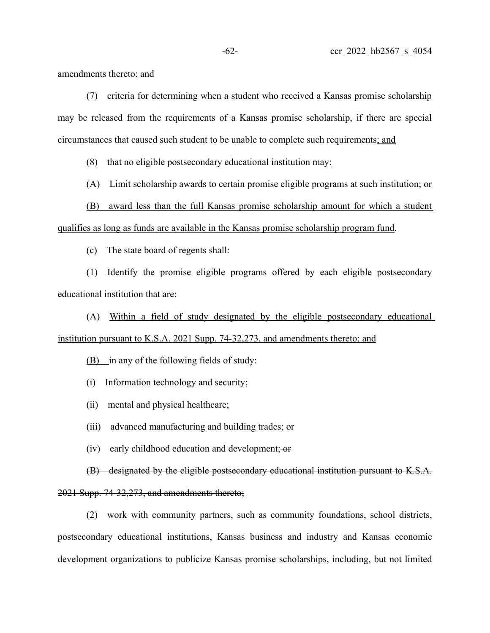amendments thereto; and

(7) criteria for determining when a student who received a Kansas promise scholarship may be released from the requirements of a Kansas promise scholarship, if there are special circumstances that caused such student to be unable to complete such requirements; and

(8) that no eligible postsecondary educational institution may:

(A) Limit scholarship awards to certain promise eligible programs at such institution; or

(B) award less than the full Kansas promise scholarship amount for which a student qualifies as long as funds are available in the Kansas promise scholarship program fund.

(c) The state board of regents shall:

(1) Identify the promise eligible programs offered by each eligible postsecondary educational institution that are:

(A) Within a field of study designated by the eligible postsecondary educational institution pursuant to K.S.A. 2021 Supp. 74-32,273, and amendments thereto; and

(B) in any of the following fields of study:

(i) Information technology and security;

(ii) mental and physical healthcare;

(iii) advanced manufacturing and building trades; or

(iv) early childhood education and development;  $-$ or

(B) designated by the eligible postsecondary educational institution pursuant to K.S.A. 2021 Supp. 74-32,273, and amendments thereto;

(2) work with community partners, such as community foundations, school districts, postsecondary educational institutions, Kansas business and industry and Kansas economic development organizations to publicize Kansas promise scholarships, including, but not limited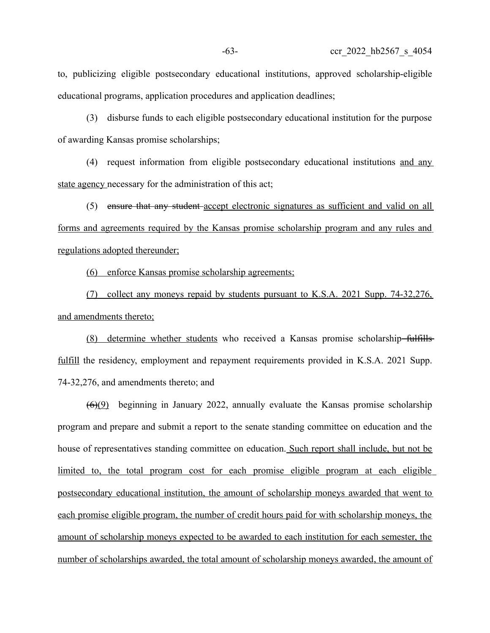to, publicizing eligible postsecondary educational institutions, approved scholarship-eligible educational programs, application procedures and application deadlines;

(3) disburse funds to each eligible postsecondary educational institution for the purpose of awarding Kansas promise scholarships;

(4) request information from eligible postsecondary educational institutions and any state agency necessary for the administration of this act;

(5) ensure that any student accept electronic signatures as sufficient and valid on all forms and agreements required by the Kansas promise scholarship program and any rules and regulations adopted thereunder;

(6) enforce Kansas promise scholarship agreements;

(7) collect any moneys repaid by students pursuant to K.S.A. 2021 Supp. 74-32,276, and amendments thereto;

(8) determine whether students who received a Kansas promise scholarship fulfills fulfill the residency, employment and repayment requirements provided in K.S.A. 2021 Supp. 74-32,276, and amendments thereto; and

(6)(9) beginning in January 2022, annually evaluate the Kansas promise scholarship program and prepare and submit a report to the senate standing committee on education and the house of representatives standing committee on education. Such report shall include, but not be limited to, the total program cost for each promise eligible program at each eligible postsecondary educational institution, the amount of scholarship moneys awarded that went to each promise eligible program, the number of credit hours paid for with scholarship moneys, the amount of scholarship moneys expected to be awarded to each institution for each semester, the number of scholarships awarded, the total amount of scholarship moneys awarded, the amount of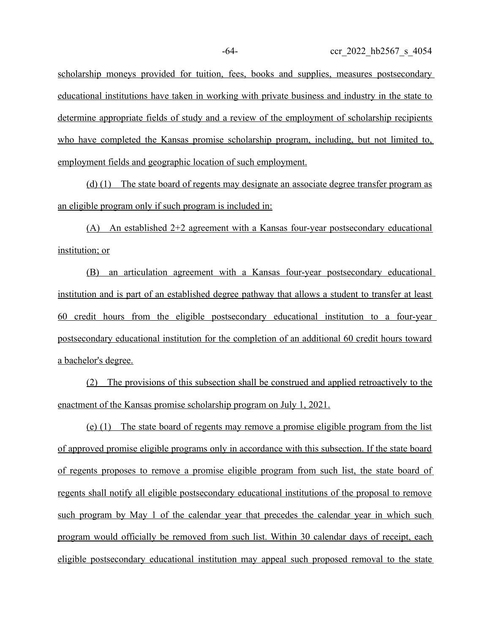scholarship moneys provided for tuition, fees, books and supplies, measures postsecondary educational institutions have taken in working with private business and industry in the state to determine appropriate fields of study and a review of the employment of scholarship recipients who have completed the Kansas promise scholarship program, including, but not limited to, employment fields and geographic location of such employment.

 (d) (1) The state board of regents may designate an associate degree transfer program as an eligible program only if such program is included in:

(A) An established 2+2 agreement with a Kansas four-year postsecondary educational institution; or

(B) an articulation agreement with a Kansas four-year postsecondary educational institution and is part of an established degree pathway that allows a student to transfer at least 60 credit hours from the eligible postsecondary educational institution to a four-year postsecondary educational institution for the completion of an additional 60 credit hours toward a bachelor's degree.

(2) The provisions of this subsection shall be construed and applied retroactively to the enactment of the Kansas promise scholarship program on July 1, 2021.

 (e) (1) The state board of regents may remove a promise eligible program from the list of approved promise eligible programs only in accordance with this subsection. If the state board of regents proposes to remove a promise eligible program from such list, the state board of regents shall notify all eligible postsecondary educational institutions of the proposal to remove such program by May 1 of the calendar year that precedes the calendar year in which such program would officially be removed from such list. Within 30 calendar days of receipt, each eligible postsecondary educational institution may appeal such proposed removal to the state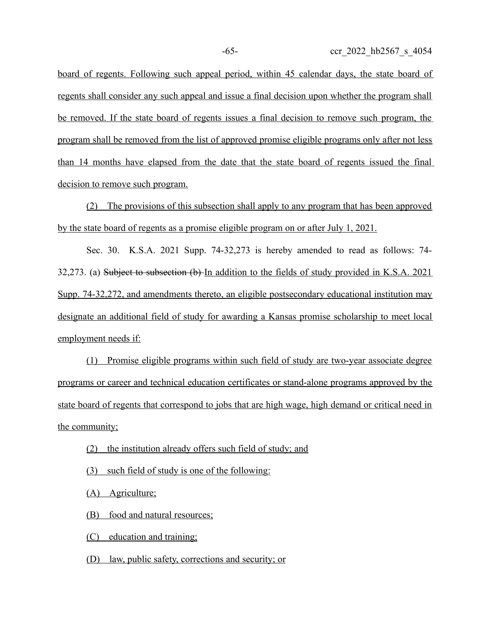board of regents. Following such appeal period, within 45 calendar days, the state board of regents shall consider any such appeal and issue a final decision upon whether the program shall be removed. If the state board of regents issues a final decision to remove such program, the program shall be removed from the list of approved promise eligible programs only after not less than 14 months have elapsed from the date that the state board of regents issued the final decision to remove such program.

(2) The provisions of this subsection shall apply to any program that has been approved by the state board of regents as a promise eligible program on or after July 1, 2021.

Sec. 30. K.S.A. 2021 Supp. 74-32,273 is hereby amended to read as follows: 74- 32,273. (a) Subject to subsection (b) In addition to the fields of study provided in K.S.A. 2021 Supp. 74-32,272, and amendments thereto, an eligible postsecondary educational institution may designate an additional field of study for awarding a Kansas promise scholarship to meet local employment needs if:

(1) Promise eligible programs within such field of study are two-year associate degree programs or career and technical education certificates or stand-alone programs approved by the state board of regents that correspond to jobs that are high wage, high demand or critical need in the community;

- (2) the institution already offers such field of study; and
- (3) such field of study is one of the following:

(A) Agriculture;

(B) food and natural resources;

(C) education and training;

(D) law, public safety, corrections and security; or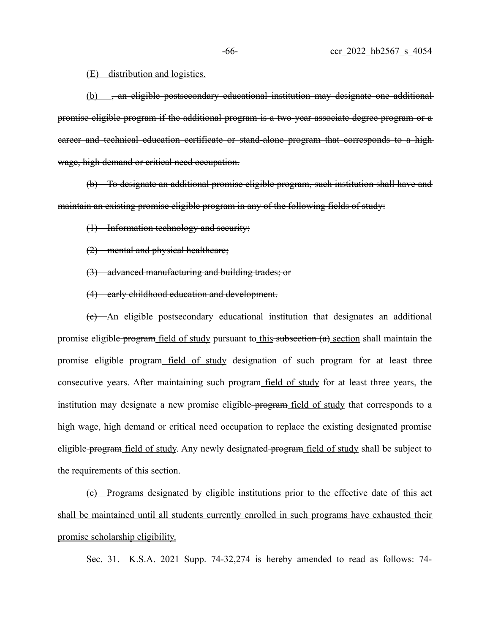## (E) distribution and logistics.

(b) , an eligible postsecondary educational institution may designate one additional promise eligible program if the additional program is a two-year associate degree program or a career and technical education certificate or stand-alone program that corresponds to a high wage, high demand or critical need occupation.

(b) To designate an additional promise eligible program, such institution shall have and maintain an existing promise eligible program in any of the following fields of study:

(1) Information technology and security;

(2) mental and physical healthcare;

(3) advanced manufacturing and building trades; or

(4) early childhood education and development.

(c) An eligible postsecondary educational institution that designates an additional promise eligible program field of study pursuant to this subsection (a) section shall maintain the promise eligible program field of study designation of such program for at least three consecutive years. After maintaining such-program field of study for at least three years, the institution may designate a new promise eligible-program field of study that corresponds to a high wage, high demand or critical need occupation to replace the existing designated promise eligible program field of study. Any newly designated program field of study shall be subject to the requirements of this section.

(c) Programs designated by eligible institutions prior to the effective date of this act shall be maintained until all students currently enrolled in such programs have exhausted their promise scholarship eligibility.

Sec. 31. K.S.A. 2021 Supp. 74-32,274 is hereby amended to read as follows: 74-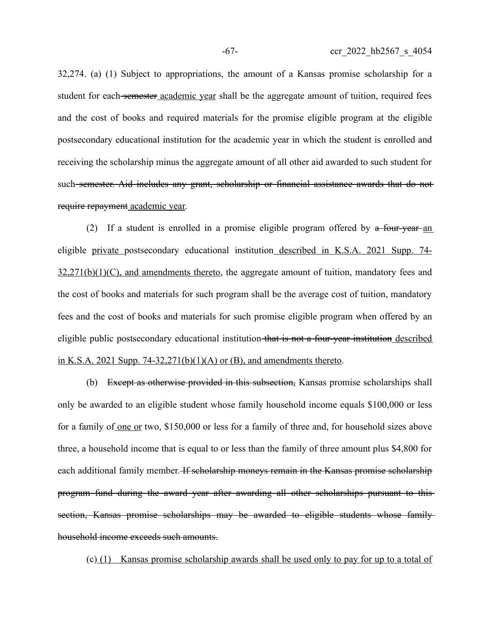32,274. (a) (1) Subject to appropriations, the amount of a Kansas promise scholarship for a student for each semester academic year shall be the aggregate amount of tuition, required fees and the cost of books and required materials for the promise eligible program at the eligible postsecondary educational institution for the academic year in which the student is enrolled and receiving the scholarship minus the aggregate amount of all other aid awarded to such student for such-semester. Aid includes any grant, scholarship or financial assistance awards that do notrequire repayment academic year.

(2) If a student is enrolled in a promise eligible program offered by  $a$  four-year-an eligible private postsecondary educational institution described in K.S.A. 2021 Supp. 74-  $32,271(b)(1)(C)$ , and amendments thereto, the aggregate amount of tuition, mandatory fees and the cost of books and materials for such program shall be the average cost of tuition, mandatory fees and the cost of books and materials for such promise eligible program when offered by an eligible public postsecondary educational institution that is not a four-year institution described in K.S.A. 2021 Supp. 74-32,271(b)(1)(A) or (B), and amendments thereto.

(b) Except as otherwise provided in this subsection, Kansas promise scholarships shall only be awarded to an eligible student whose family household income equals \$100,000 or less for a family of one or two, \$150,000 or less for a family of three and, for household sizes above three, a household income that is equal to or less than the family of three amount plus \$4,800 for each additional family member. If scholarship moneys remain in the Kansas promise scholarship program fund during the award year after awarding all other scholarships pursuant to this section, Kansas promise scholarships may be awarded to eligible students whose family household income exceeds such amounts.

(c) (1) Kansas promise scholarship awards shall be used only to pay for up to a total of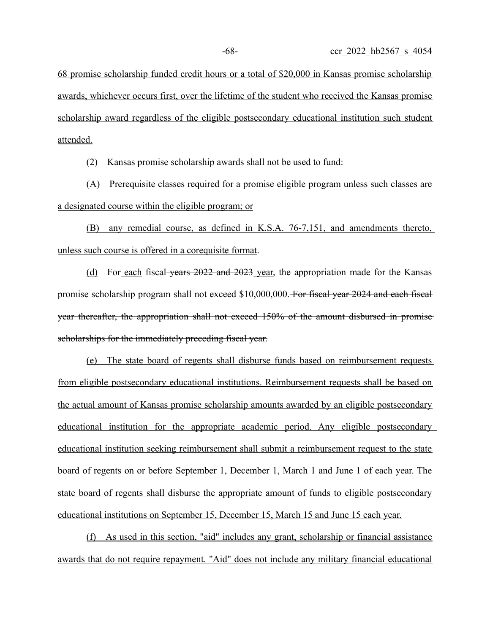68 promise scholarship funded credit hours or a total of \$20,000 in Kansas promise scholarship awards, whichever occurs first, over the lifetime of the student who received the Kansas promise scholarship award regardless of the eligible postsecondary educational institution such student attended.

(2) Kansas promise scholarship awards shall not be used to fund:

(A) Prerequisite classes required for a promise eligible program unless such classes are a designated course within the eligible program; or

(B) any remedial course, as defined in K.S.A. 76-7,151, and amendments thereto, unless such course is offered in a corequisite format.

(d) For each fiscal years 2022 and 2023 year, the appropriation made for the Kansas promise scholarship program shall not exceed \$10,000,000. For fiscal year 2024 and each fiscal year thereafter, the appropriation shall not exceed 150% of the amount disbursed in promise scholarships for the immediately preceding fiscal year.

(e) The state board of regents shall disburse funds based on reimbursement requests from eligible postsecondary educational institutions. Reimbursement requests shall be based on the actual amount of Kansas promise scholarship amounts awarded by an eligible postsecondary educational institution for the appropriate academic period. Any eligible postsecondary educational institution seeking reimbursement shall submit a reimbursement request to the state board of regents on or before September 1, December 1, March 1 and June 1 of each year. The state board of regents shall disburse the appropriate amount of funds to eligible postsecondary educational institutions on September 15, December 15, March 15 and June 15 each year.

(f) As used in this section, "aid" includes any grant, scholarship or financial assistance awards that do not require repayment. "Aid" does not include any military financial educational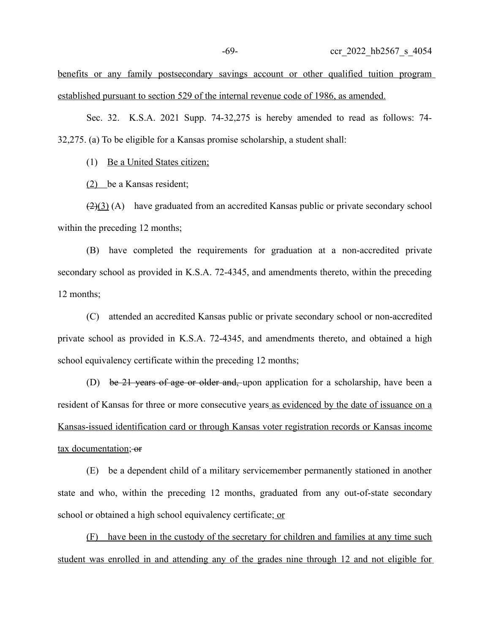benefits or any family postsecondary savings account or other qualified tuition program established pursuant to section 529 of the internal revenue code of 1986, as amended.

Sec. 32. K.S.A. 2021 Supp. 74-32,275 is hereby amended to read as follows: 74- 32,275. (a) To be eligible for a Kansas promise scholarship, a student shall:

(1) Be a United States citizen;

(2) be a Kansas resident;

 $\left(\frac{2}{3}\right)$  (A) have graduated from an accredited Kansas public or private secondary school within the preceding 12 months;

(B) have completed the requirements for graduation at a non-accredited private secondary school as provided in K.S.A. 72-4345, and amendments thereto, within the preceding 12 months;

(C) attended an accredited Kansas public or private secondary school or non-accredited private school as provided in K.S.A. 72-4345, and amendments thereto, and obtained a high school equivalency certificate within the preceding 12 months;

(D) be 21 years of age or older and, upon application for a scholarship, have been a resident of Kansas for three or more consecutive years as evidenced by the date of issuance on a Kansas-issued identification card or through Kansas voter registration records or Kansas income tax documentation; or

(E) be a dependent child of a military servicemember permanently stationed in another state and who, within the preceding 12 months, graduated from any out-of-state secondary school or obtained a high school equivalency certificate; or

(F) have been in the custody of the secretary for children and families at any time such student was enrolled in and attending any of the grades nine through 12 and not eligible for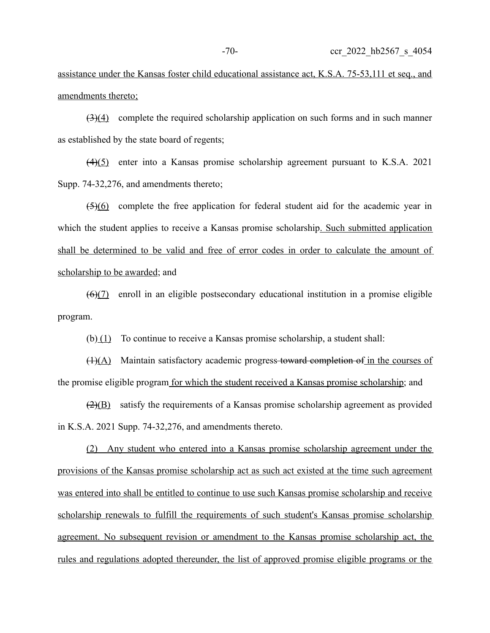assistance under the Kansas foster child educational assistance act, K.S.A. 75-53,111 et seq., and amendments thereto;

 $\left(\frac{3}{4}\right)$  complete the required scholarship application on such forms and in such manner as established by the state board of regents;

(4)(5) enter into a Kansas promise scholarship agreement pursuant to K.S.A. 2021 Supp. 74-32,276, and amendments thereto;

(5)(6) complete the free application for federal student aid for the academic year in which the student applies to receive a Kansas promise scholarship. Such submitted application shall be determined to be valid and free of error codes in order to calculate the amount of scholarship to be awarded; and

 $(6)(7)$  enroll in an eligible postsecondary educational institution in a promise eligible program.

(b) $(1)$  To continue to receive a Kansas promise scholarship, a student shall:

 $(H)(A)$  Maintain satisfactory academic progress toward completion of in the courses of the promise eligible program for which the student received a Kansas promise scholarship; and

(2)(B) satisfy the requirements of a Kansas promise scholarship agreement as provided in K.S.A. 2021 Supp. 74-32,276, and amendments thereto.

 (2) Any student who entered into a Kansas promise scholarship agreement under the provisions of the Kansas promise scholarship act as such act existed at the time such agreement was entered into shall be entitled to continue to use such Kansas promise scholarship and receive scholarship renewals to fulfill the requirements of such student's Kansas promise scholarship agreement. No subsequent revision or amendment to the Kansas promise scholarship act, the rules and regulations adopted thereunder, the list of approved promise eligible programs or the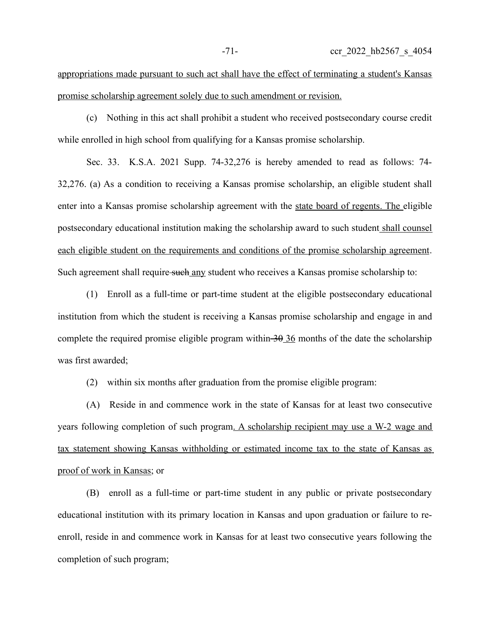appropriations made pursuant to such act shall have the effect of terminating a student's Kansas promise scholarship agreement solely due to such amendment or revision.

(c) Nothing in this act shall prohibit a student who received postsecondary course credit while enrolled in high school from qualifying for a Kansas promise scholarship.

Sec. 33. K.S.A. 2021 Supp. 74-32,276 is hereby amended to read as follows: 74- 32,276. (a) As a condition to receiving a Kansas promise scholarship, an eligible student shall enter into a Kansas promise scholarship agreement with the state board of regents. The eligible postsecondary educational institution making the scholarship award to such student shall counsel each eligible student on the requirements and conditions of the promise scholarship agreement. Such agreement shall require such any student who receives a Kansas promise scholarship to:

(1) Enroll as a full-time or part-time student at the eligible postsecondary educational institution from which the student is receiving a Kansas promise scholarship and engage in and complete the required promise eligible program within  $\frac{30 \text{ 36}}{10}$  months of the date the scholarship was first awarded;

(2) within six months after graduation from the promise eligible program:

(A) Reside in and commence work in the state of Kansas for at least two consecutive years following completion of such program. A scholarship recipient may use a W-2 wage and tax statement showing Kansas withholding or estimated income tax to the state of Kansas as proof of work in Kansas; or

(B) enroll as a full-time or part-time student in any public or private postsecondary educational institution with its primary location in Kansas and upon graduation or failure to reenroll, reside in and commence work in Kansas for at least two consecutive years following the completion of such program;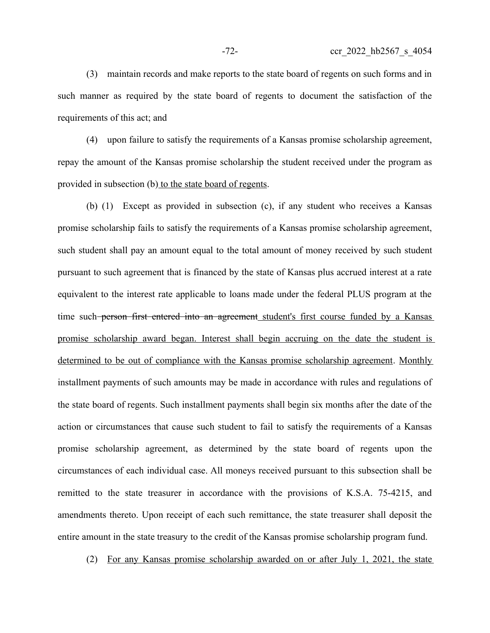(3) maintain records and make reports to the state board of regents on such forms and in such manner as required by the state board of regents to document the satisfaction of the requirements of this act; and

(4) upon failure to satisfy the requirements of a Kansas promise scholarship agreement, repay the amount of the Kansas promise scholarship the student received under the program as provided in subsection (b) to the state board of regents.

(b) (1) Except as provided in subsection (c), if any student who receives a Kansas promise scholarship fails to satisfy the requirements of a Kansas promise scholarship agreement, such student shall pay an amount equal to the total amount of money received by such student pursuant to such agreement that is financed by the state of Kansas plus accrued interest at a rate equivalent to the interest rate applicable to loans made under the federal PLUS program at the time such-person first entered into an agreement student's first course funded by a Kansas promise scholarship award began. Interest shall begin accruing on the date the student is determined to be out of compliance with the Kansas promise scholarship agreement. Monthly installment payments of such amounts may be made in accordance with rules and regulations of the state board of regents. Such installment payments shall begin six months after the date of the action or circumstances that cause such student to fail to satisfy the requirements of a Kansas promise scholarship agreement, as determined by the state board of regents upon the circumstances of each individual case. All moneys received pursuant to this subsection shall be remitted to the state treasurer in accordance with the provisions of K.S.A. 75-4215, and amendments thereto. Upon receipt of each such remittance, the state treasurer shall deposit the entire amount in the state treasury to the credit of the Kansas promise scholarship program fund.

(2) For any Kansas promise scholarship awarded on or after July 1, 2021, the state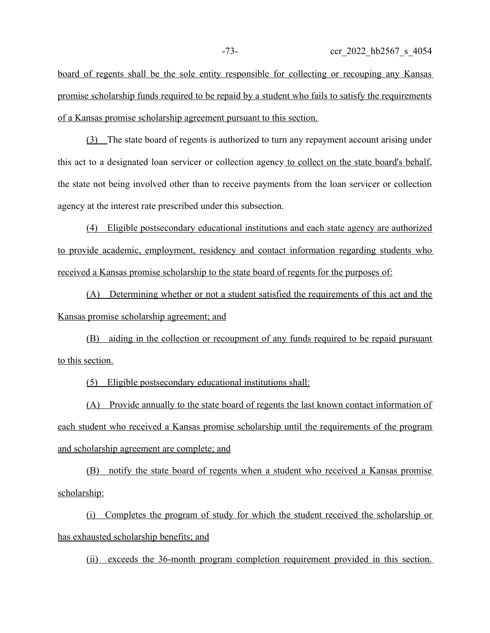board of regents shall be the sole entity responsible for collecting or recouping any Kansas promise scholarship funds required to be repaid by a student who fails to satisfy the requirements of a Kansas promise scholarship agreement pursuant to this section.

(3) The state board of regents is authorized to turn any repayment account arising under this act to a designated loan servicer or collection agency to collect on the state board's behalf, the state not being involved other than to receive payments from the loan servicer or collection agency at the interest rate prescribed under this subsection.

(4) Eligible postsecondary educational institutions and each state agency are authorized to provide academic, employment, residency and contact information regarding students who received a Kansas promise scholarship to the state board of regents for the purposes of:

(A) Determining whether or not a student satisfied the requirements of this act and the Kansas promise scholarship agreement; and

(B) aiding in the collection or recoupment of any funds required to be repaid pursuant to this section.

(5) Eligible postsecondary educational institutions shall:

(A) Provide annually to the state board of regents the last known contact information of each student who received a Kansas promise scholarship until the requirements of the program and scholarship agreement are complete; and

(B) notify the state board of regents when a student who received a Kansas promise scholarship:

(i) Completes the program of study for which the student received the scholarship or has exhausted scholarship benefits; and

(ii) exceeds the 36-month program completion requirement provided in this section.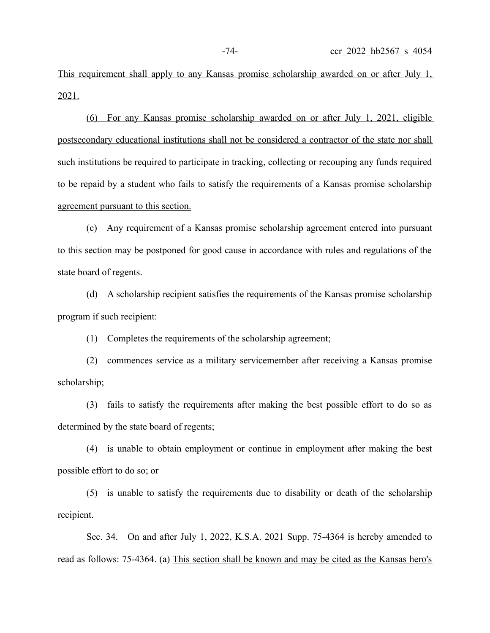This requirement shall apply to any Kansas promise scholarship awarded on or after July 1, 2021.

(6) For any Kansas promise scholarship awarded on or after July 1, 2021, eligible postsecondary educational institutions shall not be considered a contractor of the state nor shall such institutions be required to participate in tracking, collecting or recouping any funds required to be repaid by a student who fails to satisfy the requirements of a Kansas promise scholarship agreement pursuant to this section.

(c) Any requirement of a Kansas promise scholarship agreement entered into pursuant to this section may be postponed for good cause in accordance with rules and regulations of the state board of regents.

(d) A scholarship recipient satisfies the requirements of the Kansas promise scholarship program if such recipient:

(1) Completes the requirements of the scholarship agreement;

(2) commences service as a military servicemember after receiving a Kansas promise scholarship;

(3) fails to satisfy the requirements after making the best possible effort to do so as determined by the state board of regents;

(4) is unable to obtain employment or continue in employment after making the best possible effort to do so; or

(5) is unable to satisfy the requirements due to disability or death of the scholarship recipient.

Sec. 34. On and after July 1, 2022, K.S.A. 2021 Supp. 75-4364 is hereby amended to read as follows: 75-4364. (a) This section shall be known and may be cited as the Kansas hero's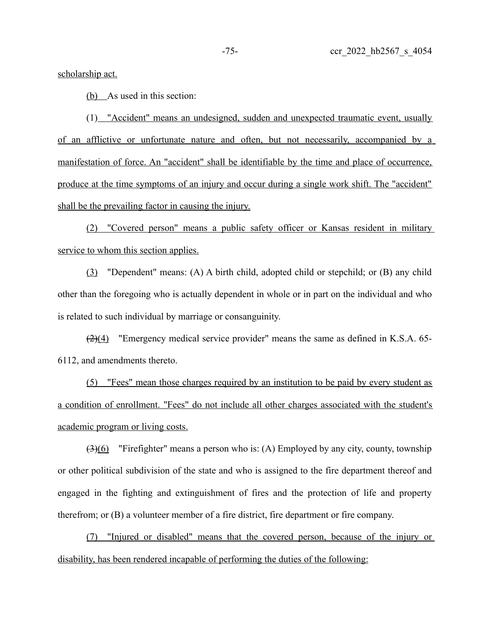scholarship act.

 $(b)$  As used in this section:

(1) "Accident" means an undesigned, sudden and unexpected traumatic event, usually of an afflictive or unfortunate nature and often, but not necessarily, accompanied by a manifestation of force. An "accident" shall be identifiable by the time and place of occurrence, produce at the time symptoms of an injury and occur during a single work shift. The "accident" shall be the prevailing factor in causing the injury.

(2) "Covered person" means a public safety officer or Kansas resident in military service to whom this section applies.

(3) "Dependent" means: (A) A birth child, adopted child or stepchild; or (B) any child other than the foregoing who is actually dependent in whole or in part on the individual and who is related to such individual by marriage or consanguinity.

(2)(4) "Emergency medical service provider" means the same as defined in K.S.A. 65- 6112, and amendments thereto.

(5) "Fees" mean those charges required by an institution to be paid by every student as a condition of enrollment. "Fees" do not include all other charges associated with the student's academic program or living costs.

 $(3)(6)$  "Firefighter" means a person who is: (A) Employed by any city, county, township or other political subdivision of the state and who is assigned to the fire department thereof and engaged in the fighting and extinguishment of fires and the protection of life and property therefrom; or (B) a volunteer member of a fire district, fire department or fire company.

(7) "Injured or disabled" means that the covered person, because of the injury or disability, has been rendered incapable of performing the duties of the following: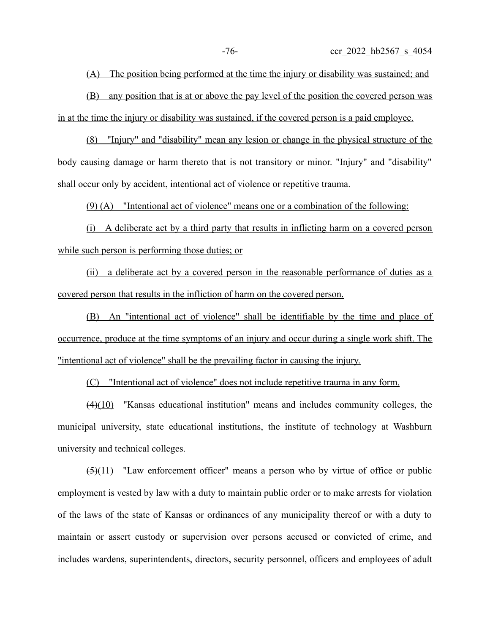(A) The position being performed at the time the injury or disability was sustained; and

(B) any position that is at or above the pay level of the position the covered person was in at the time the injury or disability was sustained, if the covered person is a paid employee.

 (8) "Injury" and "disability" mean any lesion or change in the physical structure of the body causing damage or harm thereto that is not transitory or minor. "Injury" and "disability" shall occur only by accident, intentional act of violence or repetitive trauma.

(9) (A) "Intentional act of violence" means one or a combination of the following:

(i) A deliberate act by a third party that results in inflicting harm on a covered person while such person is performing those duties; or

(ii) a deliberate act by a covered person in the reasonable performance of duties as a covered person that results in the infliction of harm on the covered person.

(B) An "intentional act of violence" shall be identifiable by the time and place of occurrence, produce at the time symptoms of an injury and occur during a single work shift. The "intentional act of violence" shall be the prevailing factor in causing the injury.

(C) "Intentional act of violence" does not include repetitive trauma in any form.

 $(4)(10)$  "Kansas educational institution" means and includes community colleges, the municipal university, state educational institutions, the institute of technology at Washburn university and technical colleges.

 $(5)(11)$  "Law enforcement officer" means a person who by virtue of office or public employment is vested by law with a duty to maintain public order or to make arrests for violation of the laws of the state of Kansas or ordinances of any municipality thereof or with a duty to maintain or assert custody or supervision over persons accused or convicted of crime, and includes wardens, superintendents, directors, security personnel, officers and employees of adult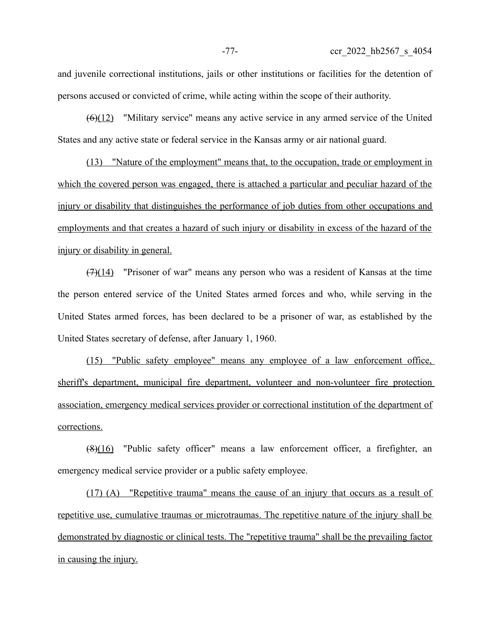and juvenile correctional institutions, jails or other institutions or facilities for the detention of persons accused or convicted of crime, while acting within the scope of their authority.

 $(6)(12)$  "Military service" means any active service in any armed service of the United States and any active state or federal service in the Kansas army or air national guard.

(13) "Nature of the employment" means that, to the occupation, trade or employment in which the covered person was engaged, there is attached a particular and peculiar hazard of the injury or disability that distinguishes the performance of job duties from other occupations and employments and that creates a hazard of such injury or disability in excess of the hazard of the injury or disability in general.

 $(7)(14)$  "Prisoner of war" means any person who was a resident of Kansas at the time the person entered service of the United States armed forces and who, while serving in the United States armed forces, has been declared to be a prisoner of war, as established by the United States secretary of defense, after January 1, 1960.

(15) "Public safety employee" means any employee of a law enforcement office, sheriff's department, municipal fire department, volunteer and non-volunteer fire protection association, emergency medical services provider or correctional institution of the department of corrections.

(8)(16) "Public safety officer" means a law enforcement officer, a firefighter, an emergency medical service provider or a public safety employee.

(17) (A) "Repetitive trauma" means the cause of an injury that occurs as a result of repetitive use, cumulative traumas or microtraumas. The repetitive nature of the injury shall be demonstrated by diagnostic or clinical tests. The "repetitive trauma" shall be the prevailing factor in causing the injury.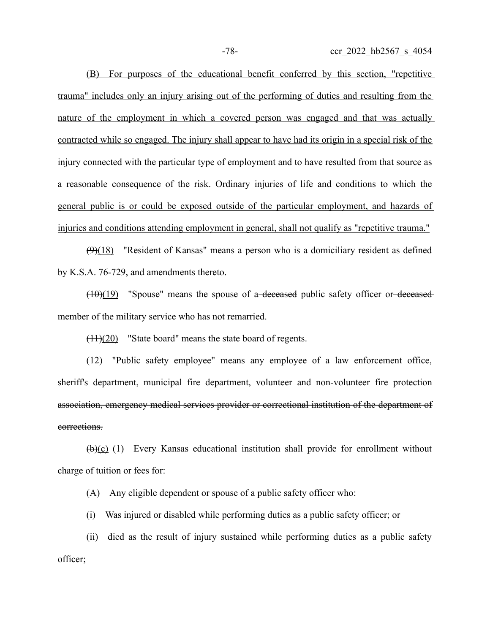(B) For purposes of the educational benefit conferred by this section, "repetitive trauma" includes only an injury arising out of the performing of duties and resulting from the nature of the employment in which a covered person was engaged and that was actually contracted while so engaged. The injury shall appear to have had its origin in a special risk of the injury connected with the particular type of employment and to have resulted from that source as a reasonable consequence of the risk. Ordinary injuries of life and conditions to which the general public is or could be exposed outside of the particular employment, and hazards of injuries and conditions attending employment in general, shall not qualify as "repetitive trauma."

 $(9)(18)$  "Resident of Kansas" means a person who is a domiciliary resident as defined by K.S.A. 76-729, and amendments thereto.

 $(10)(19)$  "Spouse" means the spouse of a-deceased public safety officer or-deceased member of the military service who has not remarried.

 $(11)(20)$  "State board" means the state board of regents.

(12) "Public safety employee" means any employee of a law enforcement office, sheriff's department, municipal fire department, volunteer and non-volunteer fire protectionassociation, emergency medical services provider or correctional institution of the department of corrections.

(b)(c) (1) Every Kansas educational institution shall provide for enrollment without charge of tuition or fees for:

(A) Any eligible dependent or spouse of a public safety officer who:

(i) Was injured or disabled while performing duties as a public safety officer; or

(ii) died as the result of injury sustained while performing duties as a public safety officer;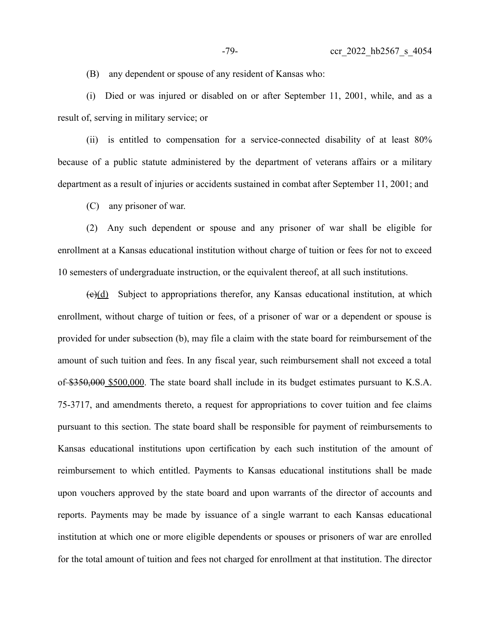(B) any dependent or spouse of any resident of Kansas who:

(i) Died or was injured or disabled on or after September 11, 2001, while, and as a result of, serving in military service; or

(ii) is entitled to compensation for a service-connected disability of at least 80% because of a public statute administered by the department of veterans affairs or a military department as a result of injuries or accidents sustained in combat after September 11, 2001; and

(C) any prisoner of war.

(2) Any such dependent or spouse and any prisoner of war shall be eligible for enrollment at a Kansas educational institution without charge of tuition or fees for not to exceed 10 semesters of undergraduate instruction, or the equivalent thereof, at all such institutions.

 $\left(\frac{e}{d}\right)$  Subject to appropriations therefor, any Kansas educational institution, at which enrollment, without charge of tuition or fees, of a prisoner of war or a dependent or spouse is provided for under subsection (b), may file a claim with the state board for reimbursement of the amount of such tuition and fees. In any fiscal year, such reimbursement shall not exceed a total of \$350,000 \$500,000. The state board shall include in its budget estimates pursuant to K.S.A. 75-3717, and amendments thereto, a request for appropriations to cover tuition and fee claims pursuant to this section. The state board shall be responsible for payment of reimbursements to Kansas educational institutions upon certification by each such institution of the amount of reimbursement to which entitled. Payments to Kansas educational institutions shall be made upon vouchers approved by the state board and upon warrants of the director of accounts and reports. Payments may be made by issuance of a single warrant to each Kansas educational institution at which one or more eligible dependents or spouses or prisoners of war are enrolled for the total amount of tuition and fees not charged for enrollment at that institution. The director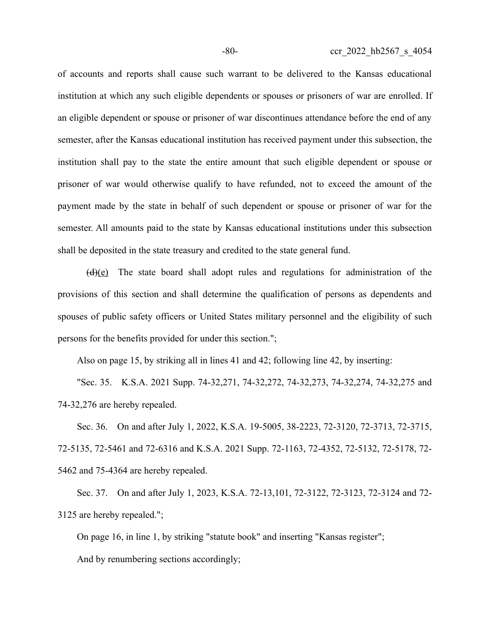of accounts and reports shall cause such warrant to be delivered to the Kansas educational institution at which any such eligible dependents or spouses or prisoners of war are enrolled. If an eligible dependent or spouse or prisoner of war discontinues attendance before the end of any semester, after the Kansas educational institution has received payment under this subsection, the institution shall pay to the state the entire amount that such eligible dependent or spouse or prisoner of war would otherwise qualify to have refunded, not to exceed the amount of the payment made by the state in behalf of such dependent or spouse or prisoner of war for the semester. All amounts paid to the state by Kansas educational institutions under this subsection shall be deposited in the state treasury and credited to the state general fund.

 $(d)(e)$  The state board shall adopt rules and regulations for administration of the provisions of this section and shall determine the qualification of persons as dependents and spouses of public safety officers or United States military personnel and the eligibility of such persons for the benefits provided for under this section.";

Also on page 15, by striking all in lines 41 and 42; following line 42, by inserting:

"Sec. 35. K.S.A. 2021 Supp. 74-32,271, 74-32,272, 74-32,273, 74-32,274, 74-32,275 and 74-32,276 are hereby repealed.

Sec. 36. On and after July 1, 2022, K.S.A. 19-5005, 38-2223, 72-3120, 72-3713, 72-3715, 72-5135, 72-5461 and 72-6316 and K.S.A. 2021 Supp. 72-1163, 72-4352, 72-5132, 72-5178, 72- 5462 and 75-4364 are hereby repealed.

Sec. 37. On and after July 1, 2023, K.S.A. 72-13,101, 72-3122, 72-3123, 72-3124 and 72- 3125 are hereby repealed.";

On page 16, in line 1, by striking "statute book" and inserting "Kansas register"; And by renumbering sections accordingly;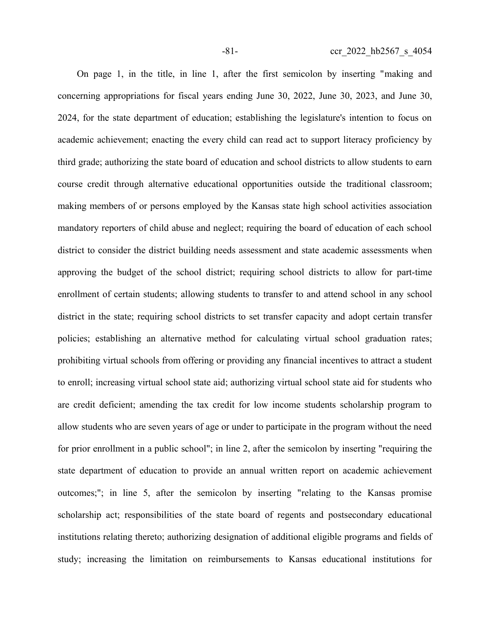On page 1, in the title, in line 1, after the first semicolon by inserting "making and concerning appropriations for fiscal years ending June 30, 2022, June 30, 2023, and June 30, 2024, for the state department of education; establishing the legislature's intention to focus on academic achievement; enacting the every child can read act to support literacy proficiency by third grade; authorizing the state board of education and school districts to allow students to earn course credit through alternative educational opportunities outside the traditional classroom; making members of or persons employed by the Kansas state high school activities association mandatory reporters of child abuse and neglect; requiring the board of education of each school district to consider the district building needs assessment and state academic assessments when approving the budget of the school district; requiring school districts to allow for part-time enrollment of certain students; allowing students to transfer to and attend school in any school district in the state; requiring school districts to set transfer capacity and adopt certain transfer policies; establishing an alternative method for calculating virtual school graduation rates; prohibiting virtual schools from offering or providing any financial incentives to attract a student to enroll; increasing virtual school state aid; authorizing virtual school state aid for students who are credit deficient; amending the tax credit for low income students scholarship program to allow students who are seven years of age or under to participate in the program without the need for prior enrollment in a public school"; in line 2, after the semicolon by inserting "requiring the state department of education to provide an annual written report on academic achievement outcomes;"; in line 5, after the semicolon by inserting "relating to the Kansas promise scholarship act; responsibilities of the state board of regents and postsecondary educational institutions relating thereto; authorizing designation of additional eligible programs and fields of study; increasing the limitation on reimbursements to Kansas educational institutions for